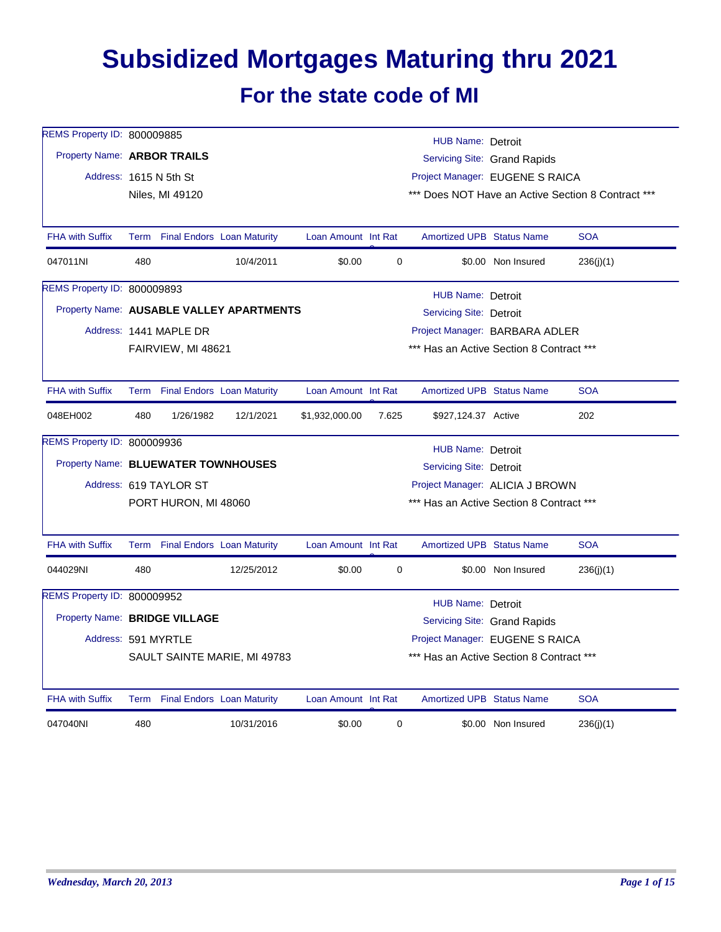## **Subsidized Mortgages Maturing thru 2021**

## **For the state code of MI**

| REMS Property ID: 800009885         |     |                        |                                          |                     |                                          | <b>HUB Name: Detroit</b>                 |                              |                                                    |  |
|-------------------------------------|-----|------------------------|------------------------------------------|---------------------|------------------------------------------|------------------------------------------|------------------------------|----------------------------------------------------|--|
| Property Name: ARBOR TRAILS         |     |                        |                                          |                     |                                          |                                          | Servicing Site: Grand Rapids |                                                    |  |
|                                     |     | Address: 1615 N 5th St |                                          |                     |                                          | Project Manager: EUGENE S RAICA          |                              |                                                    |  |
|                                     |     | Niles, MI 49120        |                                          |                     |                                          |                                          |                              | *** Does NOT Have an Active Section 8 Contract *** |  |
| <b>FHA with Suffix</b>              |     |                        | Term Final Endors Loan Maturity          | Loan Amount Int Rat |                                          | <b>Amortized UPB Status Name</b>         |                              | <b>SOA</b>                                         |  |
| 047011NI                            | 480 |                        | 10/4/2011                                | \$0.00              | 0                                        |                                          | \$0.00 Non Insured           | 236(j)(1)                                          |  |
| REMS Property ID: 800009893         |     |                        |                                          |                     |                                          | <b>HUB Name: Detroit</b>                 |                              |                                                    |  |
|                                     |     |                        | Property Name: AUSABLE VALLEY APARTMENTS |                     |                                          | <b>Servicing Site: Detroit</b>           |                              |                                                    |  |
|                                     |     | Address: 1441 MAPLE DR |                                          |                     |                                          | Project Manager: BARBARA ADLER           |                              |                                                    |  |
|                                     |     | FAIRVIEW, MI 48621     |                                          |                     |                                          | *** Has an Active Section 8 Contract *** |                              |                                                    |  |
| <b>FHA with Suffix</b>              |     |                        | Term Final Endors Loan Maturity          | Loan Amount Int Rat |                                          | <b>Amortized UPB Status Name</b>         |                              | <b>SOA</b>                                         |  |
| 048EH002                            | 480 | 1/26/1982              | 12/1/2021                                | \$1,932,000.00      | 7.625                                    | \$927,124.37 Active                      |                              | 202                                                |  |
| REMS Property ID: 800009936         |     |                        |                                          |                     |                                          | <b>HUB Name: Detroit</b>                 |                              |                                                    |  |
| Property Name: BLUEWATER TOWNHOUSES |     |                        |                                          |                     |                                          | <b>Servicing Site: Detroit</b>           |                              |                                                    |  |
|                                     |     | Address: 619 TAYLOR ST |                                          |                     |                                          | Project Manager: ALICIA J BROWN          |                              |                                                    |  |
|                                     |     | PORT HURON, MI 48060   |                                          |                     | *** Has an Active Section 8 Contract *** |                                          |                              |                                                    |  |
| <b>FHA with Suffix</b>              |     |                        | Term Final Endors Loan Maturity          | Loan Amount Int Rat |                                          | <b>Amortized UPB Status Name</b>         |                              | <b>SOA</b>                                         |  |
| 044029NI                            | 480 |                        | 12/25/2012                               | \$0.00              | 0                                        |                                          | \$0.00 Non Insured           | 236(j)(1)                                          |  |
| REMS Property ID: 800009952         |     |                        |                                          |                     |                                          | HUB Name: Detroit                        |                              |                                                    |  |
| Property Name: BRIDGE VILLAGE       |     |                        |                                          |                     |                                          |                                          | Servicing Site: Grand Rapids |                                                    |  |
| Address: 591 MYRTLE                 |     |                        |                                          |                     |                                          | Project Manager: EUGENE S RAICA          |                              |                                                    |  |
|                                     |     |                        | SAULT SAINTE MARIE, MI 49783             |                     |                                          | *** Has an Active Section 8 Contract *** |                              |                                                    |  |
| <b>FHA with Suffix</b>              |     |                        | Term Final Endors Loan Maturity          | Loan Amount Int Rat |                                          | <b>Amortized UPB Status Name</b>         |                              | <b>SOA</b>                                         |  |
| 047040NI                            | 480 |                        | 10/31/2016                               | \$0.00              | 0                                        |                                          | \$0.00 Non Insured           | 236(j)(1)                                          |  |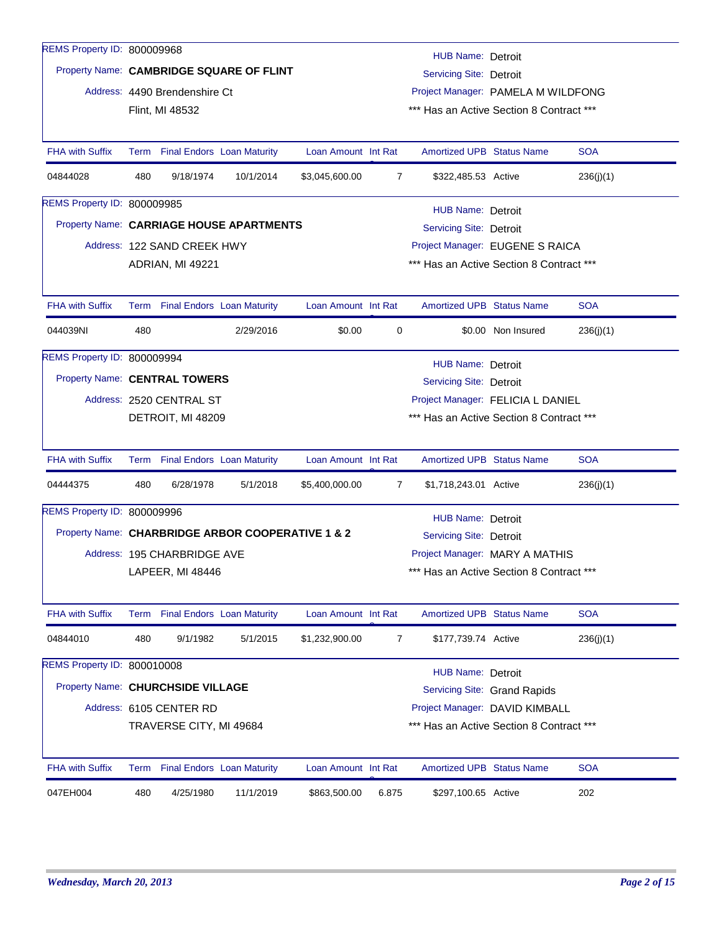| REMS Property ID: 800009968       |     |                                 |                                                   |                     |                |                                                                                |                              |            |
|-----------------------------------|-----|---------------------------------|---------------------------------------------------|---------------------|----------------|--------------------------------------------------------------------------------|------------------------------|------------|
|                                   |     |                                 | Property Name: CAMBRIDGE SQUARE OF FLINT          |                     |                | HUB Name: Detroit<br><b>Servicing Site: Detroit</b>                            |                              |            |
|                                   |     |                                 |                                                   |                     |                |                                                                                |                              |            |
|                                   |     | Address: 4490 Brendenshire Ct   |                                                   |                     |                | Project Manager: PAMELA M WILDFONG<br>*** Has an Active Section 8 Contract *** |                              |            |
|                                   |     | Flint, MI 48532                 |                                                   |                     |                |                                                                                |                              |            |
| <b>FHA with Suffix</b>            |     | Term Final Endors Loan Maturity |                                                   | Loan Amount Int Rat |                | <b>Amortized UPB Status Name</b>                                               |                              | <b>SOA</b> |
| 04844028                          | 480 | 9/18/1974                       | 10/1/2014                                         | \$3,045,600.00      | $\overline{7}$ | \$322,485.53 Active                                                            |                              | 236(j)(1)  |
| REMS Property ID: 800009985       |     |                                 |                                                   |                     |                | <b>HUB Name: Detroit</b>                                                       |                              |            |
|                                   |     |                                 | Property Name: CARRIAGE HOUSE APARTMENTS          |                     |                | Servicing Site: Detroit                                                        |                              |            |
|                                   |     | Address: 122 SAND CREEK HWY     |                                                   |                     |                | Project Manager: EUGENE S RAICA                                                |                              |            |
|                                   |     | ADRIAN, MI 49221                |                                                   |                     |                | *** Has an Active Section 8 Contract ***                                       |                              |            |
|                                   |     |                                 |                                                   |                     |                |                                                                                |                              |            |
| <b>FHA with Suffix</b>            |     | Term Final Endors Loan Maturity |                                                   | Loan Amount Int Rat |                | <b>Amortized UPB Status Name</b>                                               |                              | <b>SOA</b> |
| 044039NI                          | 480 |                                 | 2/29/2016                                         | \$0.00              | 0              |                                                                                | \$0.00 Non Insured           | 236(j)(1)  |
| REMS Property ID: 800009994       |     |                                 |                                                   |                     |                | HUB Name: Detroit                                                              |                              |            |
| Property Name: CENTRAL TOWERS     |     |                                 |                                                   |                     |                | Servicing Site: Detroit                                                        |                              |            |
|                                   |     | Address: 2520 CENTRAL ST        |                                                   |                     |                | Project Manager: FELICIA L DANIEL                                              |                              |            |
|                                   |     | DETROIT, MI 48209               |                                                   |                     |                | *** Has an Active Section 8 Contract ***                                       |                              |            |
| <b>FHA with Suffix</b>            |     | Term Final Endors Loan Maturity |                                                   | Loan Amount Int Rat |                | <b>Amortized UPB Status Name</b>                                               |                              | <b>SOA</b> |
| 04444375                          | 480 | 6/28/1978                       | 5/1/2018                                          | \$5,400,000.00      | 7              | \$1,718,243.01 Active                                                          |                              | 236(j)(1)  |
| REMS Property ID: 800009996       |     |                                 |                                                   |                     |                |                                                                                |                              |            |
|                                   |     |                                 | Property Name: CHARBRIDGE ARBOR COOPERATIVE 1 & 2 |                     |                | <b>HUB Name: Detroit</b><br><b>Servicing Site: Detroit</b>                     |                              |            |
|                                   |     | Address: 195 CHARBRIDGE AVE     |                                                   |                     |                | Project Manager: MARY A MATHIS                                                 |                              |            |
|                                   |     | LAPEER, MI 48446                |                                                   |                     |                | *** Has an Active Section 8 Contract ***                                       |                              |            |
|                                   |     |                                 |                                                   |                     |                |                                                                                |                              |            |
| <b>FHA with Suffix</b>            |     | Term Final Endors Loan Maturity |                                                   | Loan Amount Int Rat |                | <b>Amortized UPB Status Name</b>                                               |                              | <b>SOA</b> |
| 04844010                          | 480 | 9/1/1982                        | 5/1/2015                                          | \$1,232,900.00      | 7              | \$177,739.74 Active                                                            |                              | 236(j)(1)  |
| REMS Property ID: 800010008       |     |                                 |                                                   |                     |                | <b>HUB Name: Detroit</b>                                                       |                              |            |
| Property Name: CHURCHSIDE VILLAGE |     |                                 |                                                   |                     |                |                                                                                | Servicing Site: Grand Rapids |            |
|                                   |     | Address: 6105 CENTER RD         |                                                   |                     |                | Project Manager: DAVID KIMBALL                                                 |                              |            |
|                                   |     | TRAVERSE CITY, MI 49684         |                                                   |                     |                | *** Has an Active Section 8 Contract ***                                       |                              |            |
| <b>FHA with Suffix</b>            |     | Term Final Endors Loan Maturity |                                                   | Loan Amount Int Rat |                | <b>Amortized UPB Status Name</b>                                               |                              | <b>SOA</b> |
| 047EH004                          | 480 | 4/25/1980                       | 11/1/2019                                         | \$863,500.00        | 6.875          | \$297,100.65 Active                                                            |                              | 202        |
|                                   |     |                                 |                                                   |                     |                |                                                                                |                              |            |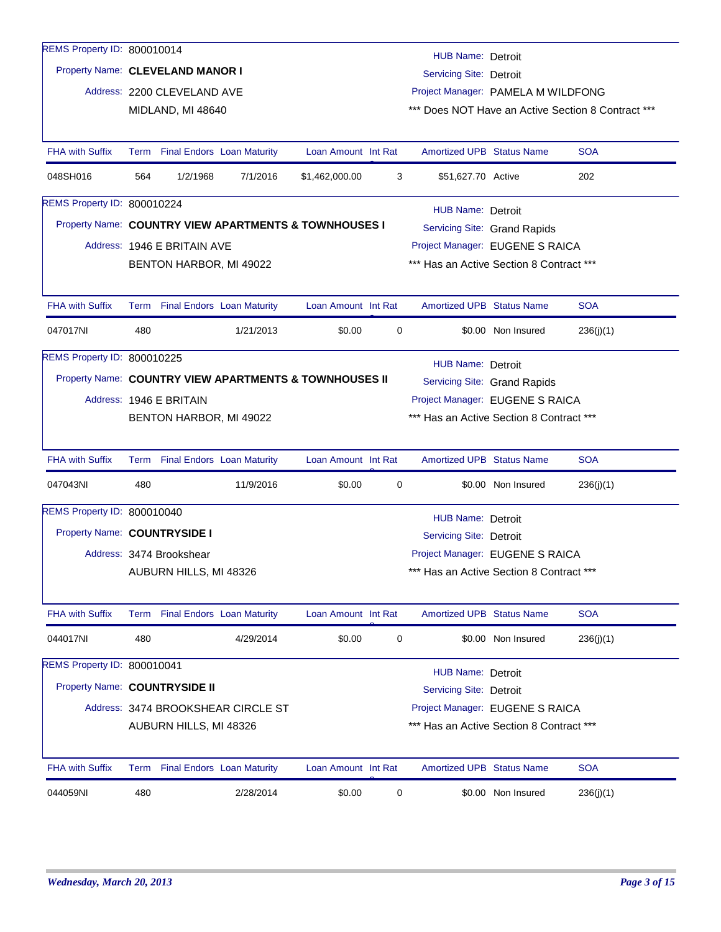| REMS Property ID: 800010014      |      |                             |                                                        |                     |   | <b>HUB Name: Detroit</b>                 |                              |                                                    |
|----------------------------------|------|-----------------------------|--------------------------------------------------------|---------------------|---|------------------------------------------|------------------------------|----------------------------------------------------|
| Property Name: CLEVELAND MANOR I |      |                             |                                                        |                     |   | <b>Servicing Site: Detroit</b>           |                              |                                                    |
|                                  |      | Address: 2200 CLEVELAND AVE |                                                        |                     |   | Project Manager: PAMELA M WILDFONG       |                              |                                                    |
|                                  |      | MIDLAND, MI 48640           |                                                        |                     |   |                                          |                              | *** Does NOT Have an Active Section 8 Contract *** |
|                                  |      |                             |                                                        |                     |   |                                          |                              |                                                    |
| <b>FHA with Suffix</b>           | Term |                             | <b>Final Endors Loan Maturity</b>                      | Loan Amount Int Rat |   | <b>Amortized UPB Status Name</b>         |                              | <b>SOA</b>                                         |
| 048SH016                         | 564  | 1/2/1968                    | 7/1/2016                                               | \$1,462,000.00      | 3 | \$51,627.70 Active                       |                              | 202                                                |
| REMS Property ID: 800010224      |      |                             |                                                        |                     |   | <b>HUB Name: Detroit</b>                 |                              |                                                    |
|                                  |      |                             | Property Name: COUNTRY VIEW APARTMENTS & TOWNHOUSES I  |                     |   |                                          | Servicing Site: Grand Rapids |                                                    |
|                                  |      | Address: 1946 E BRITAIN AVE |                                                        |                     |   | Project Manager: EUGENE S RAICA          |                              |                                                    |
|                                  |      | BENTON HARBOR, MI 49022     |                                                        |                     |   | *** Has an Active Section 8 Contract *** |                              |                                                    |
|                                  |      |                             |                                                        |                     |   |                                          |                              |                                                    |
| <b>FHA with Suffix</b>           |      |                             | Term Final Endors Loan Maturity                        | Loan Amount Int Rat |   | <b>Amortized UPB Status Name</b>         |                              | <b>SOA</b>                                         |
| 047017NI                         | 480  |                             | 1/21/2013                                              | \$0.00              | 0 |                                          | \$0.00 Non Insured           | 236(j)(1)                                          |
| REMS Property ID: 800010225      |      |                             |                                                        |                     |   | HUB Name: Detroit                        |                              |                                                    |
|                                  |      |                             | Property Name: COUNTRY VIEW APARTMENTS & TOWNHOUSES II |                     |   |                                          | Servicing Site: Grand Rapids |                                                    |
|                                  |      | Address: 1946 E BRITAIN     |                                                        |                     |   | Project Manager: EUGENE S RAICA          |                              |                                                    |
|                                  |      | BENTON HARBOR, MI 49022     |                                                        |                     |   | *** Has an Active Section 8 Contract *** |                              |                                                    |
|                                  |      |                             |                                                        |                     |   |                                          |                              |                                                    |
| <b>FHA with Suffix</b>           |      |                             | Term Final Endors Loan Maturity                        | Loan Amount Int Rat |   | <b>Amortized UPB Status Name</b>         |                              | <b>SOA</b>                                         |
| 047043NI                         | 480  |                             | 11/9/2016                                              | \$0.00              | 0 |                                          | \$0.00 Non Insured           | 236(j)(1)                                          |
| REMS Property ID: 800010040      |      |                             |                                                        |                     |   | <b>HUB Name: Detroit</b>                 |                              |                                                    |
| Property Name: COUNTRYSIDE I     |      |                             |                                                        |                     |   | <b>Servicing Site: Detroit</b>           |                              |                                                    |
|                                  |      | Address: 3474 Brookshear    |                                                        |                     |   | Project Manager: EUGENE S RAICA          |                              |                                                    |
|                                  |      | AUBURN HILLS, MI 48326      |                                                        |                     |   | *** Has an Active Section 8 Contract *** |                              |                                                    |
|                                  |      |                             |                                                        |                     |   |                                          |                              |                                                    |
| <b>FHA with Suffix</b>           | Term |                             | <b>Final Endors</b> Loan Maturity                      | Loan Amount Int Rat |   | <b>Amortized UPB Status Name</b>         |                              | <b>SOA</b>                                         |
| 044017NI                         | 480  |                             | 4/29/2014                                              | \$0.00              | 0 |                                          | \$0.00 Non Insured           | 236(j)(1)                                          |
| REMS Property ID: 800010041      |      |                             |                                                        |                     |   | <b>HUB Name: Detroit</b>                 |                              |                                                    |
| Property Name: COUNTRYSIDE II    |      |                             |                                                        |                     |   | Servicing Site: Detroit                  |                              |                                                    |
|                                  |      |                             | Address: 3474 BROOKSHEAR CIRCLE ST                     |                     |   | Project Manager: EUGENE S RAICA          |                              |                                                    |
|                                  |      | AUBURN HILLS, MI 48326      |                                                        |                     |   | *** Has an Active Section 8 Contract *** |                              |                                                    |
|                                  |      |                             |                                                        |                     |   |                                          |                              |                                                    |
| <b>FHA with Suffix</b>           |      |                             | Term Final Endors Loan Maturity                        | Loan Amount Int Rat |   | <b>Amortized UPB Status Name</b>         |                              | <b>SOA</b>                                         |
| 044059NI                         | 480  |                             | 2/28/2014                                              | \$0.00              | 0 |                                          | \$0.00 Non Insured           | 236(j)(1)                                          |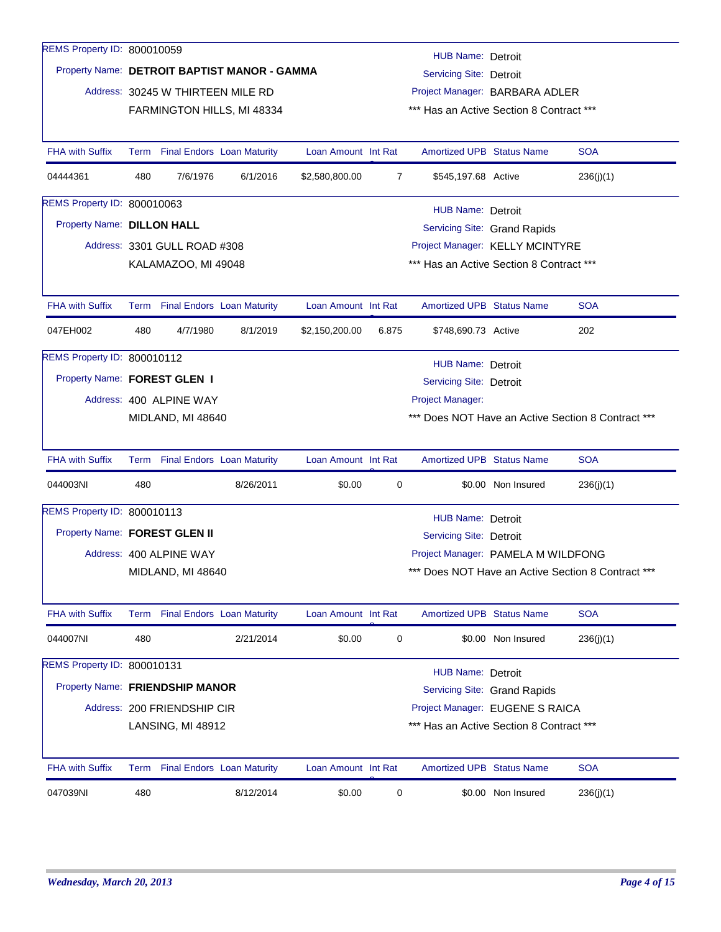| REMS Property ID: 800010059     |     |                                   |                                              |                     |                                          | <b>HUB Name: Detroit</b>                 |                              |                                                    |  |  |
|---------------------------------|-----|-----------------------------------|----------------------------------------------|---------------------|------------------------------------------|------------------------------------------|------------------------------|----------------------------------------------------|--|--|
|                                 |     |                                   | Property Name: DETROIT BAPTIST MANOR - GAMMA |                     |                                          | <b>Servicing Site: Detroit</b>           |                              |                                                    |  |  |
|                                 |     | Address: 30245 W THIRTEEN MILE RD |                                              |                     | Project Manager: BARBARA ADLER           |                                          |                              |                                                    |  |  |
|                                 |     |                                   | FARMINGTON HILLS, MI 48334                   |                     | *** Has an Active Section 8 Contract *** |                                          |                              |                                                    |  |  |
|                                 |     |                                   |                                              |                     |                                          |                                          |                              |                                                    |  |  |
| <b>FHA with Suffix</b>          |     |                                   | Term Final Endors Loan Maturity              | Loan Amount Int Rat |                                          | <b>Amortized UPB Status Name</b>         |                              | <b>SOA</b>                                         |  |  |
| 04444361                        | 480 | 7/6/1976                          | 6/1/2016                                     | \$2,580,800.00      | $\overline{7}$                           | \$545,197.68 Active                      |                              | 236(j)(1)                                          |  |  |
| REMS Property ID: 800010063     |     |                                   |                                              |                     |                                          | <b>HUB Name: Detroit</b>                 |                              |                                                    |  |  |
| Property Name: DILLON HALL      |     |                                   |                                              |                     |                                          |                                          | Servicing Site: Grand Rapids |                                                    |  |  |
|                                 |     | Address: 3301 GULL ROAD #308      |                                              |                     | Project Manager: KELLY MCINTYRE          |                                          |                              |                                                    |  |  |
|                                 |     | KALAMAZOO, MI 49048               |                                              |                     |                                          | *** Has an Active Section 8 Contract *** |                              |                                                    |  |  |
|                                 |     |                                   |                                              |                     |                                          |                                          |                              |                                                    |  |  |
| <b>FHA with Suffix</b>          |     |                                   | Term Final Endors Loan Maturity              | Loan Amount Int Rat |                                          | <b>Amortized UPB Status Name</b>         |                              | <b>SOA</b>                                         |  |  |
| 047EH002                        | 480 | 4/7/1980                          | 8/1/2019                                     | \$2,150,200.00      | 6.875                                    | \$748,690.73 Active                      |                              | 202                                                |  |  |
| REMS Property ID: 800010112     |     |                                   |                                              |                     |                                          | HUB Name: Detroit                        |                              |                                                    |  |  |
| Property Name: FOREST GLEN I    |     |                                   |                                              |                     |                                          | <b>Servicing Site: Detroit</b>           |                              |                                                    |  |  |
|                                 |     | Address: 400 ALPINE WAY           |                                              |                     |                                          | Project Manager:                         |                              |                                                    |  |  |
|                                 |     | MIDLAND, MI 48640                 |                                              |                     |                                          |                                          |                              | *** Does NOT Have an Active Section 8 Contract *** |  |  |
|                                 |     |                                   |                                              |                     |                                          |                                          |                              |                                                    |  |  |
| <b>FHA with Suffix</b>          |     |                                   | Term Final Endors Loan Maturity              | Loan Amount Int Rat |                                          | <b>Amortized UPB Status Name</b>         |                              | <b>SOA</b>                                         |  |  |
| 044003NI                        | 480 |                                   | 8/26/2011                                    | \$0.00              | 0                                        |                                          | \$0.00 Non Insured           | 236(j)(1)                                          |  |  |
| REMS Property ID: 800010113     |     |                                   |                                              |                     |                                          | <b>HUB Name: Detroit</b>                 |                              |                                                    |  |  |
| Property Name: FOREST GLEN II   |     |                                   |                                              |                     |                                          | <b>Servicing Site: Detroit</b>           |                              |                                                    |  |  |
|                                 |     | Address: 400 ALPINE WAY           |                                              |                     |                                          | Project Manager: PAMELA M WILDFONG       |                              |                                                    |  |  |
|                                 |     | MIDLAND, MI 48640                 |                                              |                     |                                          |                                          |                              | *** Does NOT Have an Active Section 8 Contract *** |  |  |
|                                 |     |                                   |                                              |                     |                                          |                                          |                              |                                                    |  |  |
| <b>FHA with Suffix</b>          |     |                                   | Term Final Endors Loan Maturity              | Loan Amount Int Rat |                                          | Amortized UPB Status Name                |                              | <b>SOA</b>                                         |  |  |
| 044007NI                        | 480 |                                   | 2/21/2014                                    | \$0.00              | 0                                        |                                          | \$0.00 Non Insured           | 236(j)(1)                                          |  |  |
| REMS Property ID: 800010131     |     |                                   |                                              |                     |                                          | <b>HUB Name: Detroit</b>                 |                              |                                                    |  |  |
| Property Name: FRIENDSHIP MANOR |     |                                   |                                              |                     |                                          |                                          | Servicing Site: Grand Rapids |                                                    |  |  |
|                                 |     | Address: 200 FRIENDSHIP CIR       |                                              |                     |                                          | Project Manager: EUGENE S RAICA          |                              |                                                    |  |  |
|                                 |     | LANSING, MI 48912                 |                                              |                     |                                          | *** Has an Active Section 8 Contract *** |                              |                                                    |  |  |
|                                 |     |                                   |                                              |                     |                                          |                                          |                              |                                                    |  |  |
| <b>FHA with Suffix</b>          |     |                                   | Term Final Endors Loan Maturity              | Loan Amount Int Rat |                                          | <b>Amortized UPB Status Name</b>         |                              | <b>SOA</b>                                         |  |  |
| 047039NI                        | 480 |                                   | 8/12/2014                                    | \$0.00              | 0                                        |                                          | \$0.00 Non Insured           | 236(j)(1)                                          |  |  |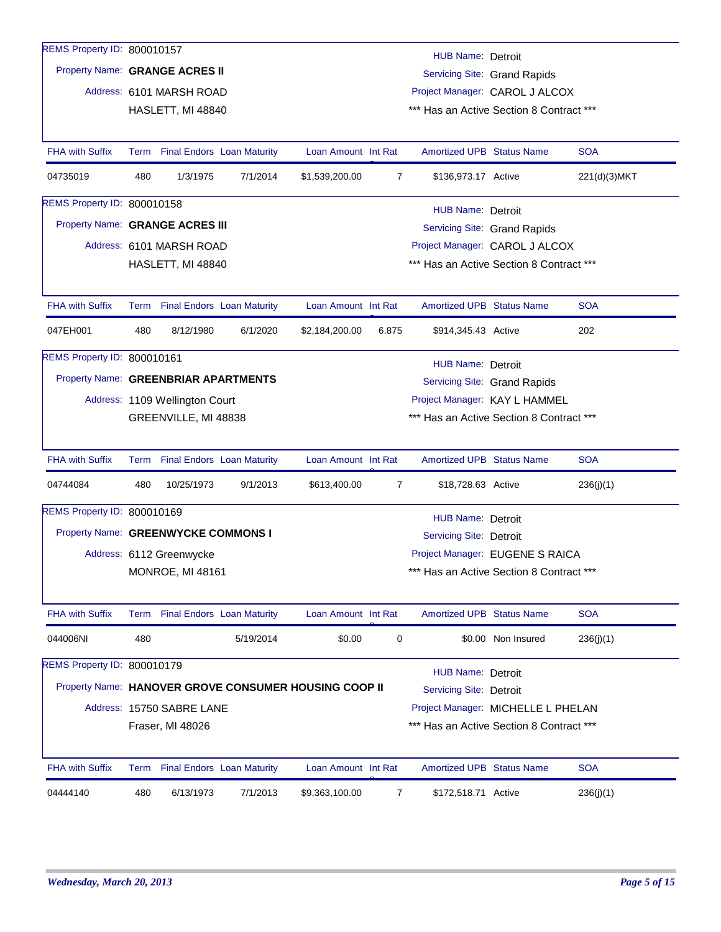| REMS Property ID: 800010157          |      |                                   |           |                                                       |       |                                          |                                    |              |
|--------------------------------------|------|-----------------------------------|-----------|-------------------------------------------------------|-------|------------------------------------------|------------------------------------|--------------|
|                                      |      |                                   |           |                                                       |       | HUB Name: Detroit                        |                                    |              |
| Property Name: GRANGE ACRES II       |      |                                   |           |                                                       |       |                                          | Servicing Site: Grand Rapids       |              |
|                                      |      | Address: 6101 MARSH ROAD          |           |                                                       |       | Project Manager: CAROL J ALCOX           |                                    |              |
|                                      |      | HASLETT, MI 48840                 |           |                                                       |       | *** Has an Active Section 8 Contract *** |                                    |              |
|                                      |      |                                   |           |                                                       |       |                                          |                                    |              |
| <b>FHA with Suffix</b>               | Term | <b>Final Endors Loan Maturity</b> |           | Loan Amount Int Rat                                   |       | <b>Amortized UPB Status Name</b>         |                                    | <b>SOA</b>   |
| 04735019                             | 480  | 1/3/1975                          | 7/1/2014  | \$1,539,200.00                                        | 7     | \$136,973.17 Active                      |                                    | 221(d)(3)MKT |
| REMS Property ID: 800010158          |      |                                   |           |                                                       |       | HUB Name: Detroit                        |                                    |              |
| Property Name: GRANGE ACRES III      |      |                                   |           |                                                       |       |                                          | Servicing Site: Grand Rapids       |              |
|                                      |      | Address: 6101 MARSH ROAD          |           |                                                       |       | Project Manager: CAROL J ALCOX           |                                    |              |
|                                      |      | HASLETT, MI 48840                 |           |                                                       |       | *** Has an Active Section 8 Contract *** |                                    |              |
|                                      |      |                                   |           |                                                       |       |                                          |                                    |              |
| <b>FHA with Suffix</b>               |      | Term Final Endors Loan Maturity   |           | Loan Amount Int Rat                                   |       | <b>Amortized UPB Status Name</b>         |                                    | <b>SOA</b>   |
| 047EH001                             | 480  | 8/12/1980                         | 6/1/2020  | \$2,184,200.00                                        | 6.875 | \$914,345.43 Active                      |                                    | 202          |
| REMS Property ID: 800010161          |      |                                   |           |                                                       |       | HUB Name: Detroit                        |                                    |              |
| Property Name: GREENBRIAR APARTMENTS |      |                                   |           |                                                       |       |                                          | Servicing Site: Grand Rapids       |              |
|                                      |      | Address: 1109 Wellington Court    |           |                                                       |       |                                          | Project Manager: KAY L HAMMEL      |              |
|                                      |      | GREENVILLE, MI 48838              |           |                                                       |       | *** Has an Active Section 8 Contract *** |                                    |              |
|                                      |      |                                   |           |                                                       |       |                                          |                                    |              |
| <b>FHA with Suffix</b>               |      | Term Final Endors Loan Maturity   |           | Loan Amount Int Rat                                   |       | <b>Amortized UPB Status Name</b>         |                                    | <b>SOA</b>   |
| 04744084                             | 480  | 10/25/1973                        | 9/1/2013  | \$613,400.00                                          | 7     | \$18,728.63 Active                       |                                    | 236(j)(1)    |
| REMS Property ID: 800010169          |      |                                   |           |                                                       |       | <b>HUB Name: Detroit</b>                 |                                    |              |
| Property Name: GREENWYCKE COMMONS I  |      |                                   |           |                                                       |       | <b>Servicing Site: Detroit</b>           |                                    |              |
|                                      |      | Address: 6112 Greenwycke          |           |                                                       |       |                                          | Project Manager: EUGENE S RAICA    |              |
|                                      |      | <b>MONROE, MI 48161</b>           |           |                                                       |       | *** Has an Active Section 8 Contract *** |                                    |              |
|                                      |      |                                   |           |                                                       |       |                                          |                                    |              |
| <b>FHA with Suffix</b>               |      | Term Final Endors Loan Maturity   |           | Loan Amount Int Rat                                   |       | <b>Amortized UPB Status Name</b>         |                                    | <b>SOA</b>   |
| 044006NI                             | 480  |                                   | 5/19/2014 | \$0.00                                                | 0     |                                          | \$0.00 Non Insured                 | 236(j)(1)    |
| REMS Property ID: 800010179          |      |                                   |           |                                                       |       | <b>HUB Name: Detroit</b>                 |                                    |              |
|                                      |      |                                   |           | Property Name: HANOVER GROVE CONSUMER HOUSING COOP II |       | <b>Servicing Site: Detroit</b>           |                                    |              |
|                                      |      | Address: 15750 SABRE LANE         |           |                                                       |       |                                          | Project Manager: MICHELLE L PHELAN |              |
|                                      |      | Fraser, MI 48026                  |           |                                                       |       | *** Has an Active Section 8 Contract *** |                                    |              |
|                                      |      |                                   |           |                                                       |       |                                          |                                    |              |
| <b>FHA with Suffix</b>               |      | Term Final Endors Loan Maturity   |           | Loan Amount Int Rat                                   |       | <b>Amortized UPB Status Name</b>         |                                    | <b>SOA</b>   |
| 04444140                             | 480  | 6/13/1973                         | 7/1/2013  | \$9,363,100.00                                        | 7     | \$172,518.71 Active                      |                                    | 236(j)(1)    |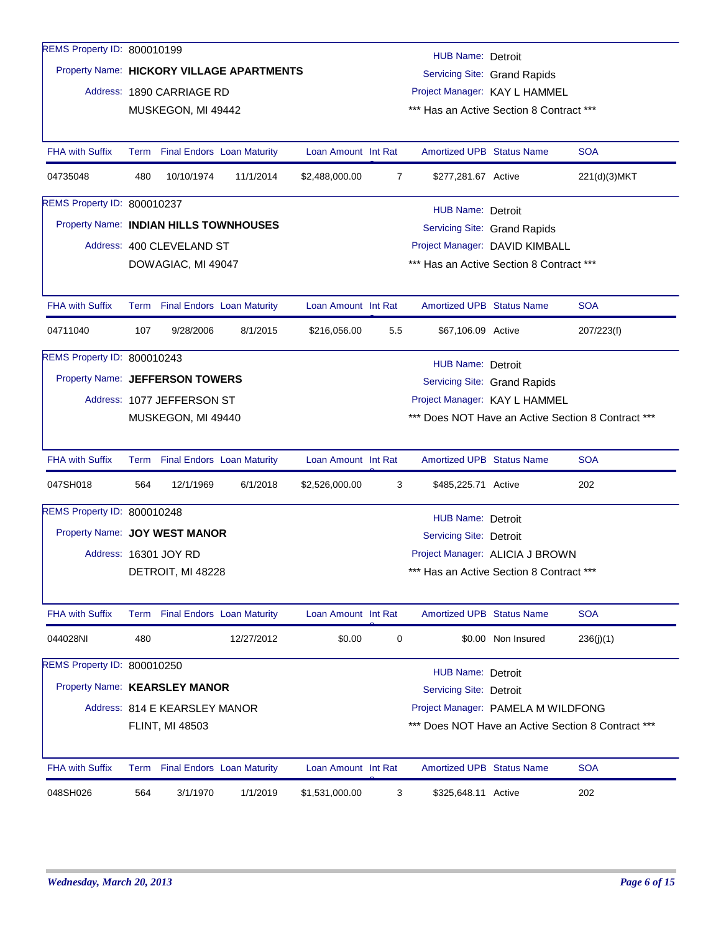| REMS Property ID: 800010199            |      |                                   |                                           |                     |                                | HUB Name: Detroit                        |                                 |                                                    |  |  |
|----------------------------------------|------|-----------------------------------|-------------------------------------------|---------------------|--------------------------------|------------------------------------------|---------------------------------|----------------------------------------------------|--|--|
|                                        |      |                                   | Property Name: HICKORY VILLAGE APARTMENTS |                     |                                |                                          | Servicing Site: Grand Rapids    |                                                    |  |  |
|                                        |      | Address: 1890 CARRIAGE RD         |                                           |                     |                                | Project Manager: KAY L HAMMEL            |                                 |                                                    |  |  |
|                                        |      | MUSKEGON, MI 49442                |                                           |                     |                                | *** Has an Active Section 8 Contract *** |                                 |                                                    |  |  |
|                                        |      |                                   |                                           |                     |                                |                                          |                                 |                                                    |  |  |
| <b>FHA with Suffix</b>                 |      | Term Final Endors Loan Maturity   |                                           | Loan Amount Int Rat |                                | <b>Amortized UPB Status Name</b>         |                                 | <b>SOA</b>                                         |  |  |
| 04735048                               | 480  | 10/10/1974                        | 11/1/2014                                 | \$2,488,000.00      | 7                              | \$277,281.67 Active                      |                                 | 221(d)(3)MKT                                       |  |  |
| REMS Property ID: 800010237            |      |                                   |                                           |                     |                                | <b>HUB Name: Detroit</b>                 |                                 |                                                    |  |  |
| Property Name: INDIAN HILLS TOWNHOUSES |      |                                   |                                           |                     |                                |                                          | Servicing Site: Grand Rapids    |                                                    |  |  |
|                                        |      | Address: 400 CLEVELAND ST         |                                           |                     | Project Manager: DAVID KIMBALL |                                          |                                 |                                                    |  |  |
|                                        |      | DOWAGIAC, MI 49047                |                                           |                     |                                | *** Has an Active Section 8 Contract *** |                                 |                                                    |  |  |
|                                        |      |                                   |                                           |                     |                                |                                          |                                 |                                                    |  |  |
| <b>FHA with Suffix</b>                 |      | Term Final Endors Loan Maturity   |                                           | Loan Amount Int Rat |                                | <b>Amortized UPB Status Name</b>         |                                 | <b>SOA</b>                                         |  |  |
| 04711040                               | 107  | 9/28/2006                         | 8/1/2015                                  | \$216,056.00        | 5.5                            | \$67,106.09 Active                       |                                 | 207/223(f)                                         |  |  |
| REMS Property ID: 800010243            |      |                                   |                                           |                     |                                | <b>HUB Name: Detroit</b>                 |                                 |                                                    |  |  |
| Property Name: JEFFERSON TOWERS        |      |                                   |                                           |                     |                                |                                          | Servicing Site: Grand Rapids    |                                                    |  |  |
|                                        |      | Address: 1077 JEFFERSON ST        |                                           |                     |                                | Project Manager: KAY L HAMMEL            |                                 |                                                    |  |  |
|                                        |      | MUSKEGON, MI 49440                |                                           |                     |                                |                                          |                                 | *** Does NOT Have an Active Section 8 Contract *** |  |  |
|                                        |      |                                   |                                           |                     |                                |                                          |                                 |                                                    |  |  |
| <b>FHA with Suffix</b>                 |      | Term Final Endors Loan Maturity   |                                           | Loan Amount Int Rat |                                | <b>Amortized UPB Status Name</b>         |                                 | <b>SOA</b>                                         |  |  |
| 047SH018                               | 564  | 12/1/1969                         | 6/1/2018                                  | \$2,526,000.00      | 3                              | \$485,225.71 Active                      |                                 | 202                                                |  |  |
| REMS Property ID: 800010248            |      |                                   |                                           |                     |                                | HUB Name: Detroit                        |                                 |                                                    |  |  |
| Property Name: JOY WEST MANOR          |      |                                   |                                           |                     |                                | Servicing Site: Detroit                  |                                 |                                                    |  |  |
|                                        |      | Address: 16301 JOY RD             |                                           |                     |                                |                                          | Project Manager: ALICIA J BROWN |                                                    |  |  |
|                                        |      | DETROIT, MI 48228                 |                                           |                     |                                | *** Has an Active Section 8 Contract *** |                                 |                                                    |  |  |
|                                        |      |                                   |                                           |                     |                                |                                          |                                 |                                                    |  |  |
| <b>FHA with Suffix</b>                 | Term | <b>Final Endors Loan Maturity</b> |                                           | Loan Amount Int Rat |                                | Amortized UPB Status Name                |                                 | <b>SOA</b>                                         |  |  |
| 044028NI                               | 480  |                                   | 12/27/2012                                | \$0.00              | 0                              |                                          | \$0.00 Non Insured              | 236(j)(1)                                          |  |  |
| REMS Property ID: 800010250            |      |                                   |                                           |                     |                                | <b>HUB Name: Detroit</b>                 |                                 |                                                    |  |  |
| Property Name: KEARSLEY MANOR          |      |                                   |                                           |                     |                                | <b>Servicing Site: Detroit</b>           |                                 |                                                    |  |  |
|                                        |      | Address: 814 E KEARSLEY MANOR     |                                           |                     |                                | Project Manager: PAMELA M WILDFONG       |                                 |                                                    |  |  |
|                                        |      | FLINT, MI 48503                   |                                           |                     |                                |                                          |                                 | *** Does NOT Have an Active Section 8 Contract *** |  |  |
|                                        |      |                                   |                                           |                     |                                |                                          |                                 |                                                    |  |  |
| <b>FHA with Suffix</b>                 |      | Term Final Endors Loan Maturity   |                                           | Loan Amount Int Rat |                                | <b>Amortized UPB Status Name</b>         |                                 | <b>SOA</b>                                         |  |  |
| 048SH026                               | 564  | 3/1/1970                          | 1/1/2019                                  | \$1,531,000.00      | 3                              | \$325,648.11 Active                      |                                 | 202                                                |  |  |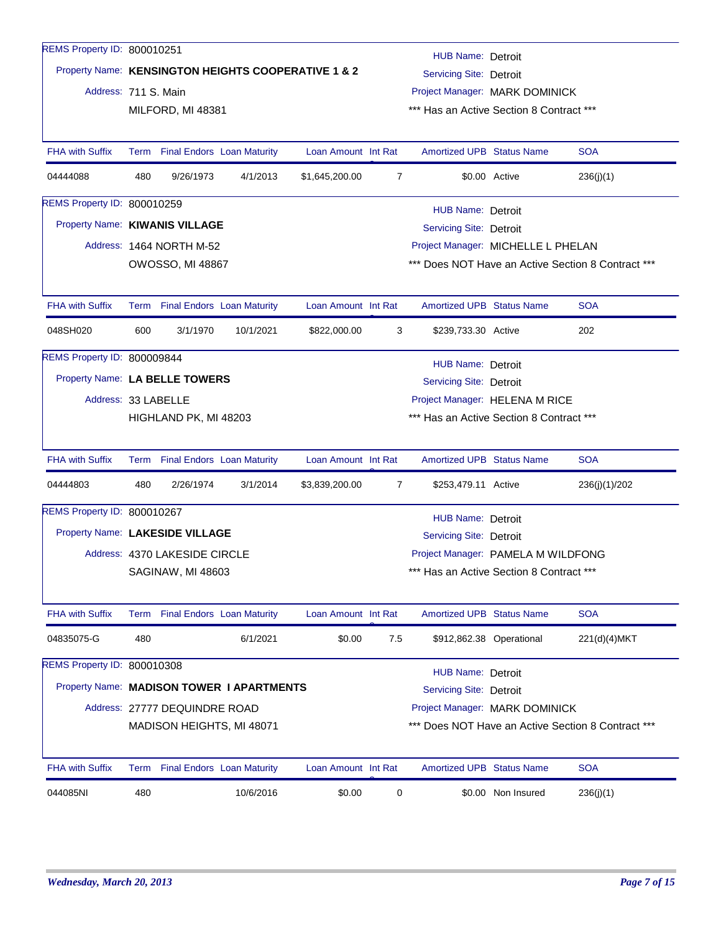| REMS Property ID: 800010251        |                                                                                 |                                 |                                           |                                                     |                                                    | HUB Name: Detroit                        |                          |               |  |  |
|------------------------------------|---------------------------------------------------------------------------------|---------------------------------|-------------------------------------------|-----------------------------------------------------|----------------------------------------------------|------------------------------------------|--------------------------|---------------|--|--|
|                                    |                                                                                 |                                 |                                           | Property Name: KENSINGTON HEIGHTS COOPERATIVE 1 & 2 |                                                    | Servicing Site: Detroit                  |                          |               |  |  |
| Address: 711 S. Main               |                                                                                 |                                 |                                           |                                                     |                                                    | Project Manager: MARK DOMINICK           |                          |               |  |  |
|                                    |                                                                                 | MILFORD, MI 48381               |                                           |                                                     | *** Has an Active Section 8 Contract ***           |                                          |                          |               |  |  |
| <b>FHA with Suffix</b>             |                                                                                 | Term Final Endors Loan Maturity |                                           | Loan Amount Int Rat                                 |                                                    | <b>Amortized UPB Status Name</b>         |                          | <b>SOA</b>    |  |  |
| 04444088                           | 480                                                                             | 9/26/1973                       | 4/1/2013                                  | \$1,645,200.00                                      | 7                                                  |                                          | \$0.00 Active            | 236(j)(1)     |  |  |
| REMS Property ID: 800010259        |                                                                                 |                                 |                                           |                                                     |                                                    | <b>HUB Name: Detroit</b>                 |                          |               |  |  |
| Property Name: KIWANIS VILLAGE     |                                                                                 |                                 |                                           |                                                     |                                                    | <b>Servicing Site: Detroit</b>           |                          |               |  |  |
|                                    |                                                                                 | Address: 1464 NORTH M-52        |                                           |                                                     |                                                    | Project Manager: MICHELLE L PHELAN       |                          |               |  |  |
|                                    |                                                                                 | <b>OWOSSO, MI 48867</b>         |                                           |                                                     | *** Does NOT Have an Active Section 8 Contract *** |                                          |                          |               |  |  |
| <b>FHA with Suffix</b>             |                                                                                 | Term Final Endors Loan Maturity |                                           | Loan Amount Int Rat                                 |                                                    | <b>Amortized UPB Status Name</b>         |                          | <b>SOA</b>    |  |  |
| 048SH020                           | 600                                                                             | 3/1/1970                        | 10/1/2021                                 | \$822,000.00                                        | 3                                                  | \$239,733.30 Active                      |                          | 202           |  |  |
| <b>REMS Property ID: 800009844</b> |                                                                                 |                                 |                                           |                                                     |                                                    | <b>HUB Name: Detroit</b>                 |                          |               |  |  |
| Property Name: LA BELLE TOWERS     |                                                                                 |                                 |                                           |                                                     |                                                    | <b>Servicing Site: Detroit</b>           |                          |               |  |  |
| Address: 33 LABELLE                |                                                                                 |                                 |                                           |                                                     |                                                    | Project Manager: HELENA M RICE           |                          |               |  |  |
|                                    |                                                                                 | HIGHLAND PK, MI 48203           |                                           |                                                     |                                                    | *** Has an Active Section 8 Contract *** |                          |               |  |  |
| <b>FHA with Suffix</b>             |                                                                                 | Term Final Endors Loan Maturity |                                           | Loan Amount Int Rat                                 |                                                    | <b>Amortized UPB Status Name</b>         |                          | <b>SOA</b>    |  |  |
| 04444803                           | 480                                                                             | 2/26/1974                       | 3/1/2014                                  | \$3,839,200.00                                      | 7                                                  | \$253,479.11 Active                      |                          | 236(j)(1)/202 |  |  |
| REMS Property ID: 800010267        |                                                                                 |                                 |                                           |                                                     |                                                    | <b>HUB Name: Detroit</b>                 |                          |               |  |  |
| Property Name: LAKESIDE VILLAGE    |                                                                                 |                                 |                                           |                                                     |                                                    | <b>Servicing Site: Detroit</b>           |                          |               |  |  |
|                                    |                                                                                 | Address: 4370 LAKESIDE CIRCLE   |                                           |                                                     |                                                    | Project Manager: PAMELA M WILDFONG       |                          |               |  |  |
|                                    |                                                                                 | SAGINAW, MI 48603               |                                           |                                                     |                                                    | *** Has an Active Section 8 Contract *** |                          |               |  |  |
| <b>FHA with Suffix</b>             |                                                                                 | Term Final Endors Loan Maturity |                                           | Loan Amount Int Rat                                 |                                                    | <b>Amortized UPB Status Name</b>         |                          | <b>SOA</b>    |  |  |
| 04835075-G                         | 480                                                                             |                                 | 6/1/2021                                  | \$0.00                                              | 7.5                                                |                                          | \$912,862.38 Operational | 221(d)(4)MKT  |  |  |
| REMS Property ID: 800010308        |                                                                                 |                                 |                                           |                                                     |                                                    | <b>HUB Name: Detroit</b>                 |                          |               |  |  |
|                                    |                                                                                 |                                 | Property Name: MADISON TOWER I APARTMENTS |                                                     |                                                    | Servicing Site: Detroit                  |                          |               |  |  |
|                                    |                                                                                 | Address: 27777 DEQUINDRE ROAD   |                                           |                                                     |                                                    | Project Manager: MARK DOMINICK           |                          |               |  |  |
|                                    | *** Does NOT Have an Active Section 8 Contract ***<br>MADISON HEIGHTS, MI 48071 |                                 |                                           |                                                     |                                                    |                                          |                          |               |  |  |
| <b>FHA with Suffix</b>             | Term                                                                            |                                 | <b>Final Endors Loan Maturity</b>         | Loan Amount Int Rat                                 |                                                    | <b>Amortized UPB Status Name</b>         |                          | <b>SOA</b>    |  |  |
| 044085NI                           | 480                                                                             |                                 | 10/6/2016                                 | \$0.00                                              | 0                                                  |                                          | \$0.00 Non Insured       | 236(j)(1)     |  |  |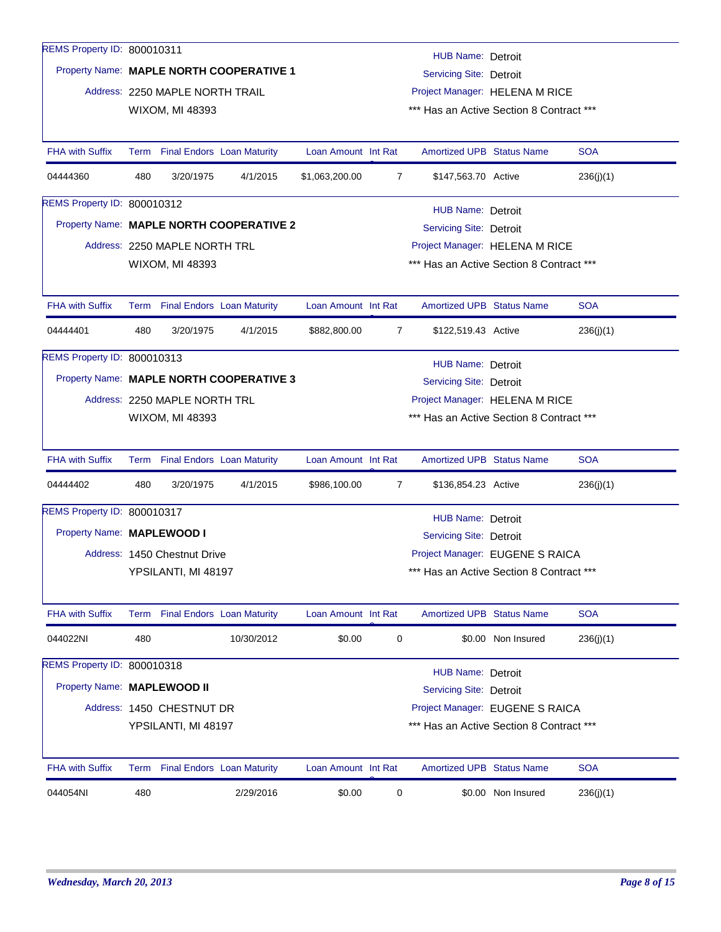| REMS Property ID: 800010311 |      |                                   |                                          |                     |                                | <b>HUB Name: Detroit</b>                 |                    |            |  |  |
|-----------------------------|------|-----------------------------------|------------------------------------------|---------------------|--------------------------------|------------------------------------------|--------------------|------------|--|--|
|                             |      |                                   | Property Name: MAPLE NORTH COOPERATIVE 1 |                     |                                | <b>Servicing Site: Detroit</b>           |                    |            |  |  |
|                             |      | Address: 2250 MAPLE NORTH TRAIL   |                                          |                     |                                | Project Manager: HELENA M RICE           |                    |            |  |  |
|                             |      | WIXOM, MI 48393                   |                                          |                     |                                | *** Has an Active Section 8 Contract *** |                    |            |  |  |
|                             |      |                                   |                                          |                     |                                |                                          |                    |            |  |  |
| <b>FHA with Suffix</b>      |      | Term Final Endors Loan Maturity   |                                          | Loan Amount Int Rat |                                | <b>Amortized UPB Status Name</b>         |                    | <b>SOA</b> |  |  |
| 04444360                    | 480  | 3/20/1975                         | 4/1/2015                                 | \$1,063,200.00      | 7                              | \$147,563.70 Active                      |                    | 236(j)(1)  |  |  |
| REMS Property ID: 800010312 |      |                                   |                                          |                     |                                | <b>HUB Name: Detroit</b>                 |                    |            |  |  |
|                             |      |                                   | Property Name: MAPLE NORTH COOPERATIVE 2 |                     |                                | Servicing Site: Detroit                  |                    |            |  |  |
|                             |      | Address: 2250 MAPLE NORTH TRL     |                                          |                     | Project Manager: HELENA M RICE |                                          |                    |            |  |  |
|                             |      | WIXOM, MI 48393                   |                                          |                     |                                | *** Has an Active Section 8 Contract *** |                    |            |  |  |
|                             |      |                                   |                                          |                     |                                |                                          |                    |            |  |  |
| <b>FHA with Suffix</b>      | Term | <b>Final Endors</b> Loan Maturity |                                          | Loan Amount Int Rat |                                | <b>Amortized UPB Status Name</b>         |                    | <b>SOA</b> |  |  |
| 04444401                    | 480  | 3/20/1975                         | 4/1/2015                                 | \$882,800.00        | 7                              | \$122,519.43 Active                      |                    | 236(j)(1)  |  |  |
| REMS Property ID: 800010313 |      |                                   |                                          |                     |                                | <b>HUB Name: Detroit</b>                 |                    |            |  |  |
|                             |      |                                   | Property Name: MAPLE NORTH COOPERATIVE 3 |                     |                                | Servicing Site: Detroit                  |                    |            |  |  |
|                             |      | Address: 2250 MAPLE NORTH TRL     |                                          |                     |                                | Project Manager: HELENA M RICE           |                    |            |  |  |
|                             |      | WIXOM, MI 48393                   |                                          |                     |                                | *** Has an Active Section 8 Contract *** |                    |            |  |  |
|                             |      |                                   |                                          |                     |                                |                                          |                    |            |  |  |
| <b>FHA with Suffix</b>      |      | Term Final Endors Loan Maturity   |                                          | Loan Amount Int Rat |                                | <b>Amortized UPB Status Name</b>         |                    | <b>SOA</b> |  |  |
| 04444402                    | 480  | 3/20/1975                         | 4/1/2015                                 | \$986,100.00        | $\overline{7}$                 | \$136,854.23 Active                      |                    | 236(j)(1)  |  |  |
| REMS Property ID: 800010317 |      |                                   |                                          |                     |                                | <b>HUB Name: Detroit</b>                 |                    |            |  |  |
| Property Name: MAPLEWOOD I  |      |                                   |                                          |                     |                                | Servicing Site: Detroit                  |                    |            |  |  |
|                             |      | Address: 1450 Chestnut Drive      |                                          |                     |                                | Project Manager: EUGENE S RAICA          |                    |            |  |  |
|                             |      | YPSILANTI, MI 48197               |                                          |                     |                                | *** Has an Active Section 8 Contract *** |                    |            |  |  |
|                             |      |                                   |                                          |                     |                                |                                          |                    |            |  |  |
| <b>FHA with Suffix</b>      |      | Term Final Endors Loan Maturity   |                                          | Loan Amount Int Rat |                                | <b>Amortized UPB Status Name</b>         |                    | <b>SOA</b> |  |  |
| 044022NI                    | 480  |                                   | 10/30/2012                               | \$0.00              | 0                              |                                          | \$0.00 Non Insured | 236(j)(1)  |  |  |
| REMS Property ID: 800010318 |      |                                   |                                          |                     |                                | <b>HUB Name: Detroit</b>                 |                    |            |  |  |
| Property Name: MAPLEWOOD II |      |                                   |                                          |                     |                                | Servicing Site: Detroit                  |                    |            |  |  |
|                             |      | Address: 1450 CHESTNUT DR         |                                          |                     |                                | Project Manager: EUGENE S RAICA          |                    |            |  |  |
|                             |      | YPSILANTI, MI 48197               |                                          |                     |                                | *** Has an Active Section 8 Contract *** |                    |            |  |  |
|                             |      |                                   |                                          |                     |                                |                                          |                    |            |  |  |
| <b>FHA with Suffix</b>      | Term |                                   | <b>Final Endors</b> Loan Maturity        | Loan Amount Int Rat |                                | Amortized UPB Status Name                |                    | <b>SOA</b> |  |  |
| 044054NI                    | 480  |                                   | 2/29/2016                                | \$0.00              | 0                              |                                          | \$0.00 Non Insured | 236(j)(1)  |  |  |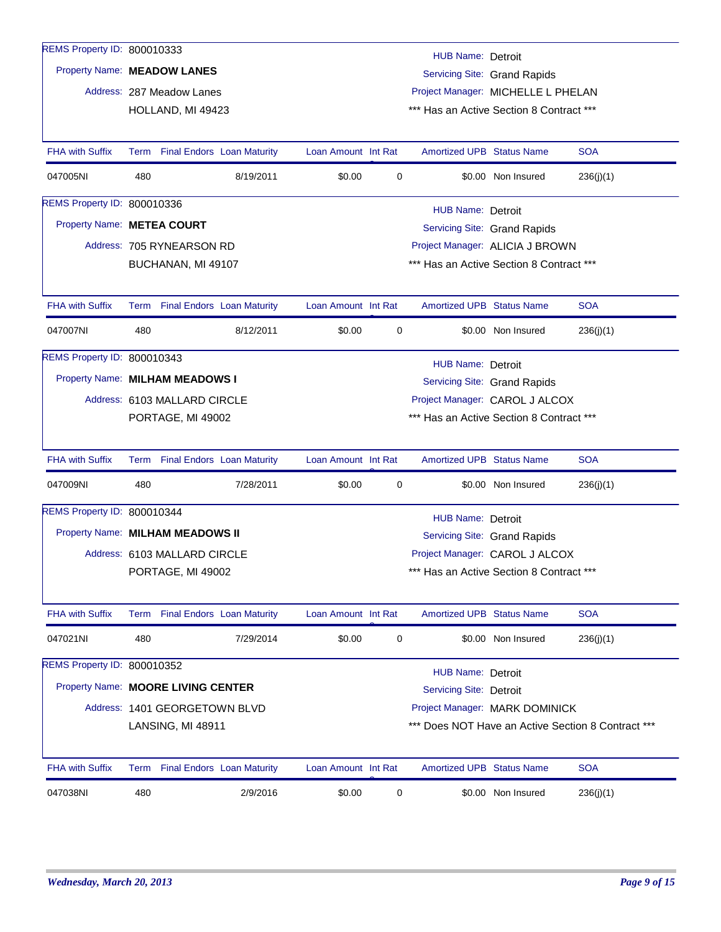| REMS Property ID: 800010333        |      |                               |                                   |                     |   | HUB Name: Detroit                        |                                |                                                    |
|------------------------------------|------|-------------------------------|-----------------------------------|---------------------|---|------------------------------------------|--------------------------------|----------------------------------------------------|
| Property Name: MEADOW LANES        |      |                               |                                   |                     |   |                                          | Servicing Site: Grand Rapids   |                                                    |
|                                    |      | Address: 287 Meadow Lanes     |                                   |                     |   | Project Manager: MICHELLE L PHELAN       |                                |                                                    |
|                                    |      | HOLLAND, MI 49423             |                                   |                     |   | *** Has an Active Section 8 Contract *** |                                |                                                    |
|                                    |      |                               |                                   |                     |   |                                          |                                |                                                    |
| <b>FHA with Suffix</b>             |      |                               | Term Final Endors Loan Maturity   | Loan Amount Int Rat |   | <b>Amortized UPB Status Name</b>         |                                | <b>SOA</b>                                         |
| 047005NI                           | 480  |                               | 8/19/2011                         | \$0.00              | 0 |                                          | \$0.00 Non Insured             | 236(j)(1)                                          |
| REMS Property ID: 800010336        |      |                               |                                   |                     |   | <b>HUB Name: Detroit</b>                 |                                |                                                    |
| Property Name: METEA COURT         |      |                               |                                   |                     |   |                                          | Servicing Site: Grand Rapids   |                                                    |
|                                    |      | Address: 705 RYNEARSON RD     |                                   |                     |   | Project Manager: ALICIA J BROWN          |                                |                                                    |
|                                    |      | BUCHANAN, MI 49107            |                                   |                     |   | *** Has an Active Section 8 Contract *** |                                |                                                    |
|                                    |      |                               |                                   |                     |   |                                          |                                |                                                    |
| FHA with Suffix                    |      |                               | Term Final Endors Loan Maturity   | Loan Amount Int Rat |   | <b>Amortized UPB Status Name</b>         |                                | <b>SOA</b>                                         |
| 047007NI                           | 480  |                               | 8/12/2011                         | \$0.00              | 0 |                                          | \$0.00 Non Insured             | 236(j)(1)                                          |
| REMS Property ID: 800010343        |      |                               |                                   |                     |   | HUB Name: Detroit                        |                                |                                                    |
| Property Name: MILHAM MEADOWS I    |      |                               |                                   |                     |   |                                          | Servicing Site: Grand Rapids   |                                                    |
|                                    |      | Address: 6103 MALLARD CIRCLE  |                                   |                     |   |                                          | Project Manager: CAROL J ALCOX |                                                    |
|                                    |      | PORTAGE, MI 49002             |                                   |                     |   | *** Has an Active Section 8 Contract *** |                                |                                                    |
|                                    |      |                               |                                   |                     |   |                                          |                                |                                                    |
| <b>FHA with Suffix</b>             |      |                               | Term Final Endors Loan Maturity   | Loan Amount Int Rat |   | <b>Amortized UPB Status Name</b>         |                                | <b>SOA</b>                                         |
| 047009NI                           | 480  |                               | 7/28/2011                         | \$0.00              | 0 |                                          | \$0.00 Non Insured             | 236(j)(1)                                          |
| REMS Property ID: 800010344        |      |                               |                                   |                     |   | <b>HUB Name: Detroit</b>                 |                                |                                                    |
| Property Name: MILHAM MEADOWS II   |      |                               |                                   |                     |   |                                          | Servicing Site: Grand Rapids   |                                                    |
|                                    |      | Address: 6103 MALLARD CIRCLE  |                                   |                     |   |                                          | Project Manager: CAROL J ALCOX |                                                    |
|                                    |      | PORTAGE, MI 49002             |                                   |                     |   | *** Has an Active Section 8 Contract *** |                                |                                                    |
|                                    |      |                               |                                   |                     |   |                                          |                                |                                                    |
| <b>FHA with Suffix</b>             | Term |                               | <b>Final Endors Loan Maturity</b> | Loan Amount Int Rat |   | <b>Amortized UPB Status Name</b>         |                                | <b>SOA</b>                                         |
| 047021NI                           | 480  |                               | 7/29/2014                         | \$0.00              | 0 |                                          | \$0.00 Non Insured             | 236(j)(1)                                          |
| REMS Property ID: 800010352        |      |                               |                                   |                     |   | <b>HUB Name: Detroit</b>                 |                                |                                                    |
| Property Name: MOORE LIVING CENTER |      |                               |                                   |                     |   | Servicing Site: Detroit                  |                                |                                                    |
|                                    |      | Address: 1401 GEORGETOWN BLVD |                                   |                     |   |                                          | Project Manager: MARK DOMINICK |                                                    |
|                                    |      | LANSING, MI 48911             |                                   |                     |   |                                          |                                | *** Does NOT Have an Active Section 8 Contract *** |
|                                    |      |                               |                                   |                     |   |                                          |                                |                                                    |
| <b>FHA with Suffix</b>             |      |                               | Term Final Endors Loan Maturity   | Loan Amount Int Rat |   | <b>Amortized UPB Status Name</b>         |                                | <b>SOA</b>                                         |
| 047038NI                           | 480  |                               | 2/9/2016                          | \$0.00              | 0 |                                          | \$0.00 Non Insured             | 236(j)(1)                                          |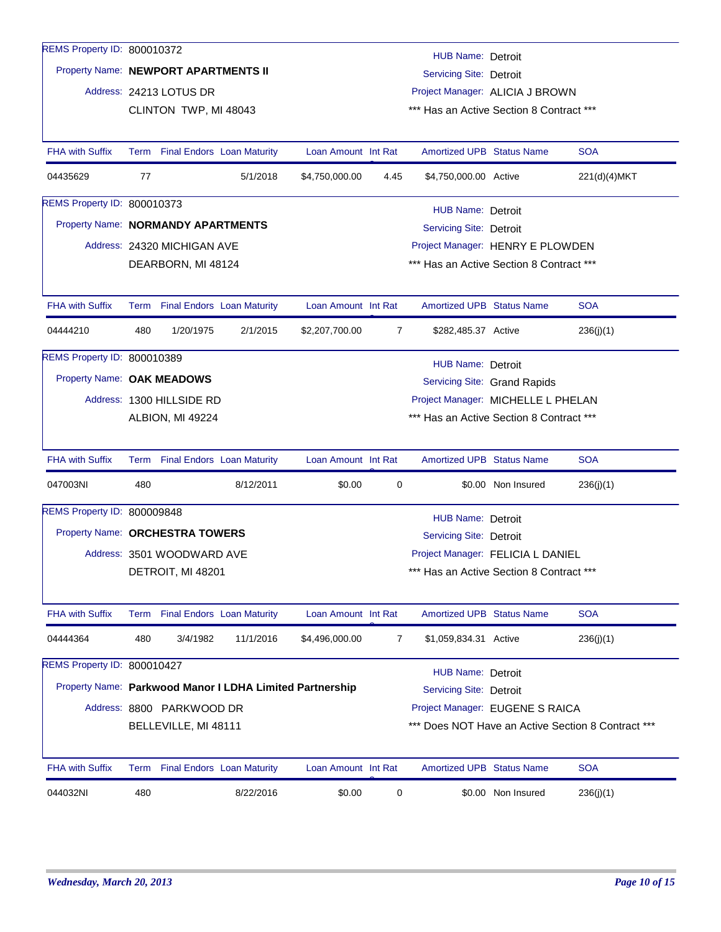| REMS Property ID: 800010372          |     |                                 |                                                          |                                    |                                  |                                          |                              |                                                    |  |  |
|--------------------------------------|-----|---------------------------------|----------------------------------------------------------|------------------------------------|----------------------------------|------------------------------------------|------------------------------|----------------------------------------------------|--|--|
|                                      |     |                                 |                                                          |                                    |                                  | HUB Name: Detroit                        |                              |                                                    |  |  |
| Property Name: NEWPORT APARTMENTS II |     |                                 |                                                          |                                    |                                  | Servicing Site: Detroit                  |                              |                                                    |  |  |
|                                      |     | Address: 24213 LOTUS DR         |                                                          |                                    |                                  | Project Manager: ALICIA J BROWN          |                              |                                                    |  |  |
|                                      |     | CLINTON TWP, MI 48043           |                                                          |                                    |                                  | *** Has an Active Section 8 Contract *** |                              |                                                    |  |  |
|                                      |     |                                 |                                                          |                                    |                                  |                                          |                              |                                                    |  |  |
| <b>FHA with Suffix</b>               |     | Term Final Endors Loan Maturity |                                                          | Loan Amount Int Rat                |                                  | <b>Amortized UPB Status Name</b>         |                              | <b>SOA</b>                                         |  |  |
| 04435629                             | 77  |                                 | 5/1/2018                                                 | \$4,750,000.00                     | 4.45                             | \$4,750,000.00 Active                    |                              | 221(d)(4)MKT                                       |  |  |
| REMS Property ID: 800010373          |     |                                 |                                                          |                                    |                                  | HUB Name: Detroit                        |                              |                                                    |  |  |
| Property Name: NORMANDY APARTMENTS   |     |                                 |                                                          |                                    | Servicing Site: Detroit          |                                          |                              |                                                    |  |  |
|                                      |     | Address: 24320 MICHIGAN AVE     |                                                          |                                    | Project Manager: HENRY E PLOWDEN |                                          |                              |                                                    |  |  |
|                                      |     | DEARBORN, MI 48124              |                                                          |                                    |                                  | *** Has an Active Section 8 Contract *** |                              |                                                    |  |  |
|                                      |     |                                 |                                                          |                                    |                                  |                                          |                              |                                                    |  |  |
| <b>FHA with Suffix</b>               |     | Term Final Endors Loan Maturity |                                                          | Loan Amount Int Rat                |                                  | <b>Amortized UPB Status Name</b>         |                              | <b>SOA</b>                                         |  |  |
| 04444210                             | 480 | 1/20/1975                       | 2/1/2015                                                 | \$2,207,700.00                     | $\overline{7}$                   | \$282,485.37 Active                      |                              | 236(j)(1)                                          |  |  |
| REMS Property ID: 800010389          |     |                                 |                                                          |                                    |                                  | <b>HUB Name: Detroit</b>                 |                              |                                                    |  |  |
| Property Name: OAK MEADOWS           |     |                                 |                                                          |                                    |                                  |                                          | Servicing Site: Grand Rapids |                                                    |  |  |
|                                      |     | Address: 1300 HILLSIDE RD       |                                                          | Project Manager: MICHELLE L PHELAN |                                  |                                          |                              |                                                    |  |  |
|                                      |     | ALBION, MI 49224                |                                                          |                                    |                                  | *** Has an Active Section 8 Contract *** |                              |                                                    |  |  |
|                                      |     |                                 |                                                          |                                    |                                  |                                          |                              |                                                    |  |  |
| <b>FHA with Suffix</b>               |     | Term Final Endors Loan Maturity |                                                          | Loan Amount Int Rat                |                                  | <b>Amortized UPB Status Name</b>         |                              | <b>SOA</b>                                         |  |  |
| 047003NI                             | 480 |                                 | 8/12/2011                                                | \$0.00                             | 0                                |                                          | \$0.00 Non Insured           | 236(j)(1)                                          |  |  |
| REMS Property ID: 800009848          |     |                                 |                                                          |                                    |                                  | HUB Name: Detroit                        |                              |                                                    |  |  |
| Property Name: ORCHESTRA TOWERS      |     |                                 |                                                          |                                    |                                  | Servicing Site: Detroit                  |                              |                                                    |  |  |
|                                      |     | Address: 3501 WOODWARD AVE      |                                                          |                                    |                                  | Project Manager: FELICIA L DANIEL        |                              |                                                    |  |  |
|                                      |     | DETROIT, MI 48201               |                                                          |                                    |                                  | *** Has an Active Section 8 Contract *** |                              |                                                    |  |  |
|                                      |     |                                 |                                                          |                                    |                                  |                                          |                              |                                                    |  |  |
| <b>FHA with Suffix</b>               |     | Term Final Endors Loan Maturity |                                                          | Loan Amount Int Rat                |                                  | <b>Amortized UPB Status Name</b>         |                              | <b>SOA</b>                                         |  |  |
| 04444364                             | 480 | 3/4/1982                        | 11/1/2016                                                | \$4,496,000.00                     | 7                                | \$1,059,834.31 Active                    |                              | 236(j)(1)                                          |  |  |
| REMS Property ID: 800010427          |     |                                 |                                                          |                                    |                                  | <b>HUB Name: Detroit</b>                 |                              |                                                    |  |  |
|                                      |     |                                 | Property Name: Parkwood Manor I LDHA Limited Partnership |                                    |                                  | <b>Servicing Site: Detroit</b>           |                              |                                                    |  |  |
|                                      |     | Address: 8800 PARKWOOD DR       |                                                          |                                    |                                  | Project Manager: EUGENE S RAICA          |                              |                                                    |  |  |
|                                      |     | BELLEVILLE, MI 48111            |                                                          |                                    |                                  |                                          |                              | *** Does NOT Have an Active Section 8 Contract *** |  |  |
|                                      |     |                                 |                                                          |                                    |                                  |                                          |                              |                                                    |  |  |
| <b>FHA with Suffix</b>               |     | Term Final Endors Loan Maturity |                                                          | Loan Amount Int Rat                |                                  | <b>Amortized UPB Status Name</b>         |                              | <b>SOA</b>                                         |  |  |
| 044032NI                             | 480 |                                 | 8/22/2016                                                | \$0.00                             | 0                                |                                          | \$0.00 Non Insured           | 236(j)(1)                                          |  |  |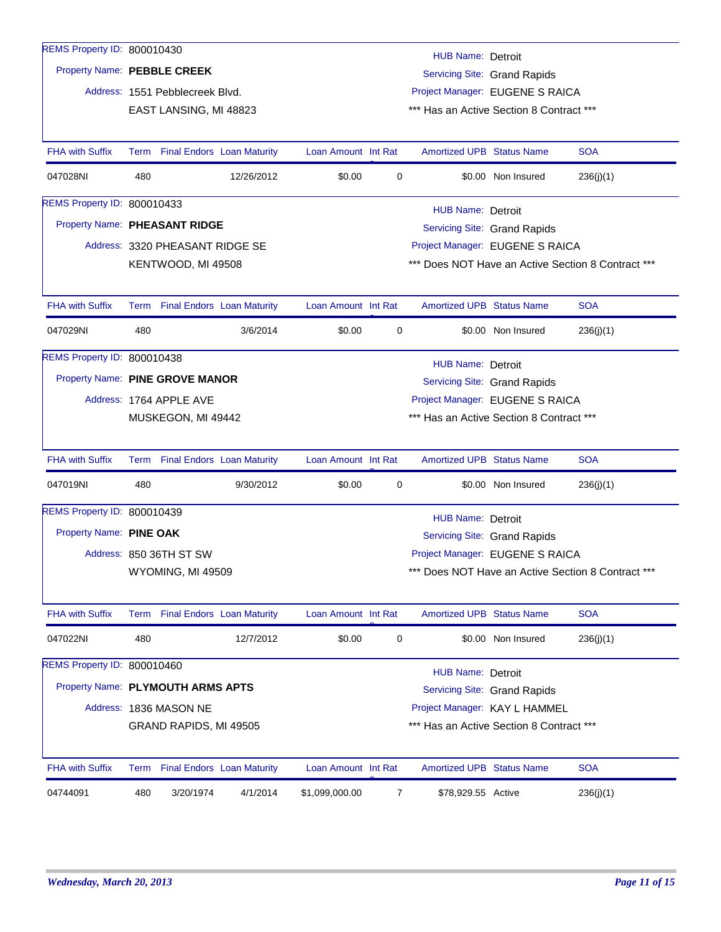| REMS Property ID: 800010430       |      |                                 |                                   |                     |             |                                          |                                 |                                                    |
|-----------------------------------|------|---------------------------------|-----------------------------------|---------------------|-------------|------------------------------------------|---------------------------------|----------------------------------------------------|
|                                   |      |                                 |                                   |                     |             | HUB Name: Detroit                        |                                 |                                                    |
| Property Name: PEBBLE CREEK       |      |                                 |                                   |                     |             |                                          | Servicing Site: Grand Rapids    |                                                    |
|                                   |      | Address: 1551 Pebblecreek Blvd. |                                   |                     |             | Project Manager: EUGENE S RAICA          |                                 |                                                    |
|                                   |      | EAST LANSING, MI 48823          |                                   |                     |             | *** Has an Active Section 8 Contract *** |                                 |                                                    |
|                                   |      |                                 |                                   |                     |             |                                          |                                 |                                                    |
| <b>FHA with Suffix</b>            |      | Term Final Endors Loan Maturity |                                   | Loan Amount Int Rat |             | <b>Amortized UPB Status Name</b>         |                                 | <b>SOA</b>                                         |
| 047028NI                          | 480  |                                 | 12/26/2012                        | \$0.00              | $\mathbf 0$ |                                          | \$0.00 Non Insured              | 236(j)(1)                                          |
| REMS Property ID: 800010433       |      |                                 |                                   |                     |             | <b>HUB Name: Detroit</b>                 |                                 |                                                    |
| Property Name: PHEASANT RIDGE     |      |                                 |                                   |                     |             |                                          | Servicing Site: Grand Rapids    |                                                    |
|                                   |      | Address: 3320 PHEASANT RIDGE SE |                                   |                     |             | Project Manager: EUGENE S RAICA          |                                 |                                                    |
|                                   |      | KENTWOOD, MI 49508              |                                   |                     |             |                                          |                                 | *** Does NOT Have an Active Section 8 Contract *** |
|                                   |      |                                 |                                   |                     |             |                                          |                                 |                                                    |
| <b>FHA with Suffix</b>            |      | Term Final Endors Loan Maturity |                                   | Loan Amount Int Rat |             | <b>Amortized UPB Status Name</b>         |                                 | <b>SOA</b>                                         |
| 047029NI                          | 480  |                                 | 3/6/2014                          | \$0.00              | 0           |                                          | \$0.00 Non Insured              | 236(j)(1)                                          |
| REMS Property ID: 800010438       |      |                                 |                                   |                     |             | HUB Name: Detroit                        |                                 |                                                    |
| Property Name: PINE GROVE MANOR   |      |                                 |                                   |                     |             |                                          | Servicing Site: Grand Rapids    |                                                    |
|                                   |      | Address: 1764 APPLE AVE         |                                   |                     |             | Project Manager: EUGENE S RAICA          |                                 |                                                    |
|                                   |      | MUSKEGON, MI 49442              |                                   |                     |             | *** Has an Active Section 8 Contract *** |                                 |                                                    |
|                                   |      |                                 |                                   |                     |             |                                          |                                 |                                                    |
| <b>FHA with Suffix</b>            |      | Term Final Endors Loan Maturity |                                   | Loan Amount Int Rat |             | <b>Amortized UPB Status Name</b>         |                                 | <b>SOA</b>                                         |
| 047019NI                          | 480  |                                 | 9/30/2012                         | \$0.00              | 0           |                                          | \$0.00 Non Insured              | 236(j)(1)                                          |
| REMS Property ID: 800010439       |      |                                 |                                   |                     |             | <b>HUB Name: Detroit</b>                 |                                 |                                                    |
| Property Name: PINE OAK           |      |                                 |                                   |                     |             |                                          | Servicing Site: Grand Rapids    |                                                    |
|                                   |      | Address: 850 36TH ST SW         |                                   |                     |             |                                          | Project Manager: EUGENE S RAICA |                                                    |
|                                   |      | WYOMING, MI 49509               |                                   |                     |             |                                          |                                 | *** Does NOT Have an Active Section 8 Contract *** |
|                                   |      |                                 |                                   |                     |             |                                          |                                 |                                                    |
| FHA with Suffix                   |      | Term Final Endors Loan Maturity |                                   | Loan Amount Int Rat |             | Amortized UPB Status Name                |                                 | <b>SOA</b>                                         |
| 047022NI                          | 480  |                                 | 12/7/2012                         | \$0.00              | 0           |                                          | \$0.00 Non Insured              | 236(j)(1)                                          |
| REMS Property ID: 800010460       |      |                                 |                                   |                     |             | <b>HUB Name: Detroit</b>                 |                                 |                                                    |
| Property Name: PLYMOUTH ARMS APTS |      |                                 |                                   |                     |             |                                          | Servicing Site: Grand Rapids    |                                                    |
|                                   |      | Address: 1836 MASON NE          |                                   |                     |             | Project Manager: KAY L HAMMEL            |                                 |                                                    |
|                                   |      | GRAND RAPIDS, MI 49505          |                                   |                     |             | *** Has an Active Section 8 Contract *** |                                 |                                                    |
|                                   |      |                                 |                                   |                     |             |                                          |                                 |                                                    |
| <b>FHA with Suffix</b>            | Term |                                 | <b>Final Endors Loan Maturity</b> | Loan Amount Int Rat |             | <b>Amortized UPB Status Name</b>         |                                 | <b>SOA</b>                                         |
| 04744091                          | 480  | 3/20/1974                       | 4/1/2014                          | \$1,099,000.00      | 7           | \$78,929.55 Active                       |                                 | 236(j)(1)                                          |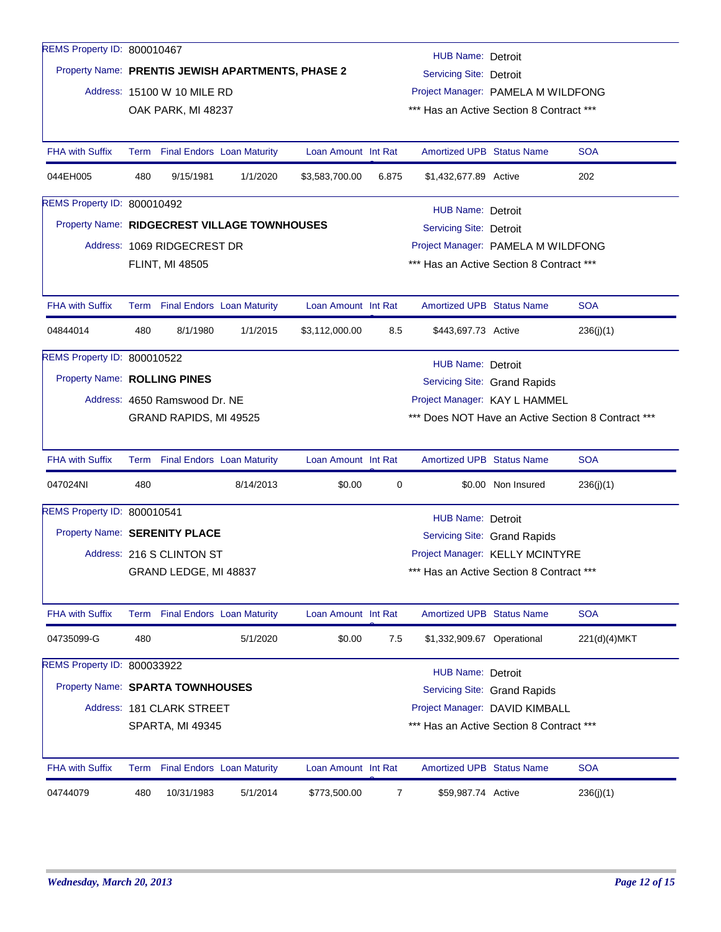| <b>HUB Name: Detroit</b><br>Property Name: PRENTIS JEWISH APARTMENTS, PHASE 2<br><b>Servicing Site: Detroit</b><br>Address: 15100 W 10 MILE RD<br>Project Manager: PAMELA M WILDFONG<br>*** Has an Active Section 8 Contract ***<br>OAK PARK, MI 48237<br><b>Amortized UPB Status Name</b><br><b>SOA</b><br><b>FHA with Suffix</b><br>Term Final Endors Loan Maturity<br>Loan Amount Int Rat<br>044EH005<br>480<br>9/15/1981<br>1/1/2020<br>\$3,583,700.00<br>202<br>6.875<br>\$1,432,677.89 Active<br>REMS Property ID: 800010492<br><b>HUB Name: Detroit</b><br>Property Name: RIDGECREST VILLAGE TOWNHOUSES<br><b>Servicing Site: Detroit</b><br>Address: 1069 RIDGECREST DR<br>Project Manager: PAMELA M WILDFONG<br>*** Has an Active Section 8 Contract ***<br><b>FLINT, MI 48505</b><br><b>SOA</b><br><b>FHA with Suffix</b><br>Term Final Endors Loan Maturity<br>Loan Amount Int Rat<br><b>Amortized UPB Status Name</b><br>04844014<br>480<br>8/1/1980<br>1/1/2015<br>\$3,112,000.00<br>\$443,697.73 Active<br>8.5<br>236(j)(1)<br>REMS Property ID: 800010522<br><b>HUB Name: Detroit</b><br>Property Name: ROLLING PINES<br>Servicing Site: Grand Rapids<br>Address: 4650 Ramswood Dr. NE<br>Project Manager: KAY L HAMMEL<br>*** Does NOT Have an Active Section 8 Contract ***<br>GRAND RAPIDS, MI 49525<br><b>SOA</b><br><b>FHA with Suffix</b><br>Term Final Endors Loan Maturity<br>Loan Amount Int Rat<br><b>Amortized UPB Status Name</b><br>047024NI<br>480<br>8/14/2013<br>\$0.00<br>\$0.00 Non Insured<br>0<br>236(j)(1)<br>REMS Property ID: 800010541<br><b>HUB Name: Detroit</b><br>Property Name: SERENITY PLACE<br>Servicing Site: Grand Rapids<br>Project Manager: KELLY MCINTYRE<br>Address: 216 S CLINTON ST<br>*** Has an Active Section 8 Contract ***<br>GRAND LEDGE, MI 48837<br><b>SOA</b><br><b>FHA with Suffix</b><br><b>Final Endors Loan Maturity</b><br>Loan Amount Int Rat<br>Amortized UPB Status Name<br>Term<br>04735099-G<br>480<br>5/1/2020<br>\$0.00<br>7.5<br>\$1,332,909.67 Operational<br>221(d)(4)MKT<br>REMS Property ID: 800033922<br><b>HUB Name: Detroit</b><br>Property Name: SPARTA TOWNHOUSES<br>Servicing Site: Grand Rapids<br>Address: 181 CLARK STREET<br>Project Manager: DAVID KIMBALL<br>*** Has an Active Section 8 Contract *** | REMS Property ID: 800010467 |                  |  |  |  |  |  |  |  |  |
|----------------------------------------------------------------------------------------------------------------------------------------------------------------------------------------------------------------------------------------------------------------------------------------------------------------------------------------------------------------------------------------------------------------------------------------------------------------------------------------------------------------------------------------------------------------------------------------------------------------------------------------------------------------------------------------------------------------------------------------------------------------------------------------------------------------------------------------------------------------------------------------------------------------------------------------------------------------------------------------------------------------------------------------------------------------------------------------------------------------------------------------------------------------------------------------------------------------------------------------------------------------------------------------------------------------------------------------------------------------------------------------------------------------------------------------------------------------------------------------------------------------------------------------------------------------------------------------------------------------------------------------------------------------------------------------------------------------------------------------------------------------------------------------------------------------------------------------------------------------------------------------------------------------------------------------------------------------------------------------------------------------------------------------------------------------------------------------------------------------------------------------------------------------------------------------------------------------------------------------------------------------------------------------------------|-----------------------------|------------------|--|--|--|--|--|--|--|--|
|                                                                                                                                                                                                                                                                                                                                                                                                                                                                                                                                                                                                                                                                                                                                                                                                                                                                                                                                                                                                                                                                                                                                                                                                                                                                                                                                                                                                                                                                                                                                                                                                                                                                                                                                                                                                                                                                                                                                                                                                                                                                                                                                                                                                                                                                                                    |                             |                  |  |  |  |  |  |  |  |  |
|                                                                                                                                                                                                                                                                                                                                                                                                                                                                                                                                                                                                                                                                                                                                                                                                                                                                                                                                                                                                                                                                                                                                                                                                                                                                                                                                                                                                                                                                                                                                                                                                                                                                                                                                                                                                                                                                                                                                                                                                                                                                                                                                                                                                                                                                                                    |                             |                  |  |  |  |  |  |  |  |  |
|                                                                                                                                                                                                                                                                                                                                                                                                                                                                                                                                                                                                                                                                                                                                                                                                                                                                                                                                                                                                                                                                                                                                                                                                                                                                                                                                                                                                                                                                                                                                                                                                                                                                                                                                                                                                                                                                                                                                                                                                                                                                                                                                                                                                                                                                                                    |                             |                  |  |  |  |  |  |  |  |  |
|                                                                                                                                                                                                                                                                                                                                                                                                                                                                                                                                                                                                                                                                                                                                                                                                                                                                                                                                                                                                                                                                                                                                                                                                                                                                                                                                                                                                                                                                                                                                                                                                                                                                                                                                                                                                                                                                                                                                                                                                                                                                                                                                                                                                                                                                                                    |                             |                  |  |  |  |  |  |  |  |  |
|                                                                                                                                                                                                                                                                                                                                                                                                                                                                                                                                                                                                                                                                                                                                                                                                                                                                                                                                                                                                                                                                                                                                                                                                                                                                                                                                                                                                                                                                                                                                                                                                                                                                                                                                                                                                                                                                                                                                                                                                                                                                                                                                                                                                                                                                                                    |                             |                  |  |  |  |  |  |  |  |  |
|                                                                                                                                                                                                                                                                                                                                                                                                                                                                                                                                                                                                                                                                                                                                                                                                                                                                                                                                                                                                                                                                                                                                                                                                                                                                                                                                                                                                                                                                                                                                                                                                                                                                                                                                                                                                                                                                                                                                                                                                                                                                                                                                                                                                                                                                                                    |                             |                  |  |  |  |  |  |  |  |  |
|                                                                                                                                                                                                                                                                                                                                                                                                                                                                                                                                                                                                                                                                                                                                                                                                                                                                                                                                                                                                                                                                                                                                                                                                                                                                                                                                                                                                                                                                                                                                                                                                                                                                                                                                                                                                                                                                                                                                                                                                                                                                                                                                                                                                                                                                                                    |                             |                  |  |  |  |  |  |  |  |  |
|                                                                                                                                                                                                                                                                                                                                                                                                                                                                                                                                                                                                                                                                                                                                                                                                                                                                                                                                                                                                                                                                                                                                                                                                                                                                                                                                                                                                                                                                                                                                                                                                                                                                                                                                                                                                                                                                                                                                                                                                                                                                                                                                                                                                                                                                                                    |                             |                  |  |  |  |  |  |  |  |  |
|                                                                                                                                                                                                                                                                                                                                                                                                                                                                                                                                                                                                                                                                                                                                                                                                                                                                                                                                                                                                                                                                                                                                                                                                                                                                                                                                                                                                                                                                                                                                                                                                                                                                                                                                                                                                                                                                                                                                                                                                                                                                                                                                                                                                                                                                                                    |                             |                  |  |  |  |  |  |  |  |  |
|                                                                                                                                                                                                                                                                                                                                                                                                                                                                                                                                                                                                                                                                                                                                                                                                                                                                                                                                                                                                                                                                                                                                                                                                                                                                                                                                                                                                                                                                                                                                                                                                                                                                                                                                                                                                                                                                                                                                                                                                                                                                                                                                                                                                                                                                                                    |                             |                  |  |  |  |  |  |  |  |  |
|                                                                                                                                                                                                                                                                                                                                                                                                                                                                                                                                                                                                                                                                                                                                                                                                                                                                                                                                                                                                                                                                                                                                                                                                                                                                                                                                                                                                                                                                                                                                                                                                                                                                                                                                                                                                                                                                                                                                                                                                                                                                                                                                                                                                                                                                                                    |                             |                  |  |  |  |  |  |  |  |  |
|                                                                                                                                                                                                                                                                                                                                                                                                                                                                                                                                                                                                                                                                                                                                                                                                                                                                                                                                                                                                                                                                                                                                                                                                                                                                                                                                                                                                                                                                                                                                                                                                                                                                                                                                                                                                                                                                                                                                                                                                                                                                                                                                                                                                                                                                                                    |                             |                  |  |  |  |  |  |  |  |  |
|                                                                                                                                                                                                                                                                                                                                                                                                                                                                                                                                                                                                                                                                                                                                                                                                                                                                                                                                                                                                                                                                                                                                                                                                                                                                                                                                                                                                                                                                                                                                                                                                                                                                                                                                                                                                                                                                                                                                                                                                                                                                                                                                                                                                                                                                                                    |                             |                  |  |  |  |  |  |  |  |  |
|                                                                                                                                                                                                                                                                                                                                                                                                                                                                                                                                                                                                                                                                                                                                                                                                                                                                                                                                                                                                                                                                                                                                                                                                                                                                                                                                                                                                                                                                                                                                                                                                                                                                                                                                                                                                                                                                                                                                                                                                                                                                                                                                                                                                                                                                                                    |                             |                  |  |  |  |  |  |  |  |  |
|                                                                                                                                                                                                                                                                                                                                                                                                                                                                                                                                                                                                                                                                                                                                                                                                                                                                                                                                                                                                                                                                                                                                                                                                                                                                                                                                                                                                                                                                                                                                                                                                                                                                                                                                                                                                                                                                                                                                                                                                                                                                                                                                                                                                                                                                                                    |                             |                  |  |  |  |  |  |  |  |  |
|                                                                                                                                                                                                                                                                                                                                                                                                                                                                                                                                                                                                                                                                                                                                                                                                                                                                                                                                                                                                                                                                                                                                                                                                                                                                                                                                                                                                                                                                                                                                                                                                                                                                                                                                                                                                                                                                                                                                                                                                                                                                                                                                                                                                                                                                                                    |                             |                  |  |  |  |  |  |  |  |  |
|                                                                                                                                                                                                                                                                                                                                                                                                                                                                                                                                                                                                                                                                                                                                                                                                                                                                                                                                                                                                                                                                                                                                                                                                                                                                                                                                                                                                                                                                                                                                                                                                                                                                                                                                                                                                                                                                                                                                                                                                                                                                                                                                                                                                                                                                                                    |                             |                  |  |  |  |  |  |  |  |  |
|                                                                                                                                                                                                                                                                                                                                                                                                                                                                                                                                                                                                                                                                                                                                                                                                                                                                                                                                                                                                                                                                                                                                                                                                                                                                                                                                                                                                                                                                                                                                                                                                                                                                                                                                                                                                                                                                                                                                                                                                                                                                                                                                                                                                                                                                                                    |                             |                  |  |  |  |  |  |  |  |  |
|                                                                                                                                                                                                                                                                                                                                                                                                                                                                                                                                                                                                                                                                                                                                                                                                                                                                                                                                                                                                                                                                                                                                                                                                                                                                                                                                                                                                                                                                                                                                                                                                                                                                                                                                                                                                                                                                                                                                                                                                                                                                                                                                                                                                                                                                                                    |                             |                  |  |  |  |  |  |  |  |  |
|                                                                                                                                                                                                                                                                                                                                                                                                                                                                                                                                                                                                                                                                                                                                                                                                                                                                                                                                                                                                                                                                                                                                                                                                                                                                                                                                                                                                                                                                                                                                                                                                                                                                                                                                                                                                                                                                                                                                                                                                                                                                                                                                                                                                                                                                                                    |                             |                  |  |  |  |  |  |  |  |  |
|                                                                                                                                                                                                                                                                                                                                                                                                                                                                                                                                                                                                                                                                                                                                                                                                                                                                                                                                                                                                                                                                                                                                                                                                                                                                                                                                                                                                                                                                                                                                                                                                                                                                                                                                                                                                                                                                                                                                                                                                                                                                                                                                                                                                                                                                                                    |                             |                  |  |  |  |  |  |  |  |  |
|                                                                                                                                                                                                                                                                                                                                                                                                                                                                                                                                                                                                                                                                                                                                                                                                                                                                                                                                                                                                                                                                                                                                                                                                                                                                                                                                                                                                                                                                                                                                                                                                                                                                                                                                                                                                                                                                                                                                                                                                                                                                                                                                                                                                                                                                                                    |                             |                  |  |  |  |  |  |  |  |  |
|                                                                                                                                                                                                                                                                                                                                                                                                                                                                                                                                                                                                                                                                                                                                                                                                                                                                                                                                                                                                                                                                                                                                                                                                                                                                                                                                                                                                                                                                                                                                                                                                                                                                                                                                                                                                                                                                                                                                                                                                                                                                                                                                                                                                                                                                                                    |                             |                  |  |  |  |  |  |  |  |  |
|                                                                                                                                                                                                                                                                                                                                                                                                                                                                                                                                                                                                                                                                                                                                                                                                                                                                                                                                                                                                                                                                                                                                                                                                                                                                                                                                                                                                                                                                                                                                                                                                                                                                                                                                                                                                                                                                                                                                                                                                                                                                                                                                                                                                                                                                                                    |                             |                  |  |  |  |  |  |  |  |  |
|                                                                                                                                                                                                                                                                                                                                                                                                                                                                                                                                                                                                                                                                                                                                                                                                                                                                                                                                                                                                                                                                                                                                                                                                                                                                                                                                                                                                                                                                                                                                                                                                                                                                                                                                                                                                                                                                                                                                                                                                                                                                                                                                                                                                                                                                                                    |                             |                  |  |  |  |  |  |  |  |  |
|                                                                                                                                                                                                                                                                                                                                                                                                                                                                                                                                                                                                                                                                                                                                                                                                                                                                                                                                                                                                                                                                                                                                                                                                                                                                                                                                                                                                                                                                                                                                                                                                                                                                                                                                                                                                                                                                                                                                                                                                                                                                                                                                                                                                                                                                                                    |                             |                  |  |  |  |  |  |  |  |  |
|                                                                                                                                                                                                                                                                                                                                                                                                                                                                                                                                                                                                                                                                                                                                                                                                                                                                                                                                                                                                                                                                                                                                                                                                                                                                                                                                                                                                                                                                                                                                                                                                                                                                                                                                                                                                                                                                                                                                                                                                                                                                                                                                                                                                                                                                                                    |                             |                  |  |  |  |  |  |  |  |  |
|                                                                                                                                                                                                                                                                                                                                                                                                                                                                                                                                                                                                                                                                                                                                                                                                                                                                                                                                                                                                                                                                                                                                                                                                                                                                                                                                                                                                                                                                                                                                                                                                                                                                                                                                                                                                                                                                                                                                                                                                                                                                                                                                                                                                                                                                                                    |                             |                  |  |  |  |  |  |  |  |  |
|                                                                                                                                                                                                                                                                                                                                                                                                                                                                                                                                                                                                                                                                                                                                                                                                                                                                                                                                                                                                                                                                                                                                                                                                                                                                                                                                                                                                                                                                                                                                                                                                                                                                                                                                                                                                                                                                                                                                                                                                                                                                                                                                                                                                                                                                                                    |                             |                  |  |  |  |  |  |  |  |  |
|                                                                                                                                                                                                                                                                                                                                                                                                                                                                                                                                                                                                                                                                                                                                                                                                                                                                                                                                                                                                                                                                                                                                                                                                                                                                                                                                                                                                                                                                                                                                                                                                                                                                                                                                                                                                                                                                                                                                                                                                                                                                                                                                                                                                                                                                                                    |                             | SPARTA, MI 49345 |  |  |  |  |  |  |  |  |
| <b>SOA</b><br><b>FHA with Suffix</b><br><b>Final Endors</b> Loan Maturity<br>Loan Amount Int Rat<br><b>Amortized UPB Status Name</b><br>Term                                                                                                                                                                                                                                                                                                                                                                                                                                                                                                                                                                                                                                                                                                                                                                                                                                                                                                                                                                                                                                                                                                                                                                                                                                                                                                                                                                                                                                                                                                                                                                                                                                                                                                                                                                                                                                                                                                                                                                                                                                                                                                                                                       |                             |                  |  |  |  |  |  |  |  |  |
| 04744079<br>480<br>10/31/1983<br>\$773,500.00<br>$\overline{7}$<br>5/1/2014<br>\$59,987.74 Active<br>236(j)(1)                                                                                                                                                                                                                                                                                                                                                                                                                                                                                                                                                                                                                                                                                                                                                                                                                                                                                                                                                                                                                                                                                                                                                                                                                                                                                                                                                                                                                                                                                                                                                                                                                                                                                                                                                                                                                                                                                                                                                                                                                                                                                                                                                                                     |                             |                  |  |  |  |  |  |  |  |  |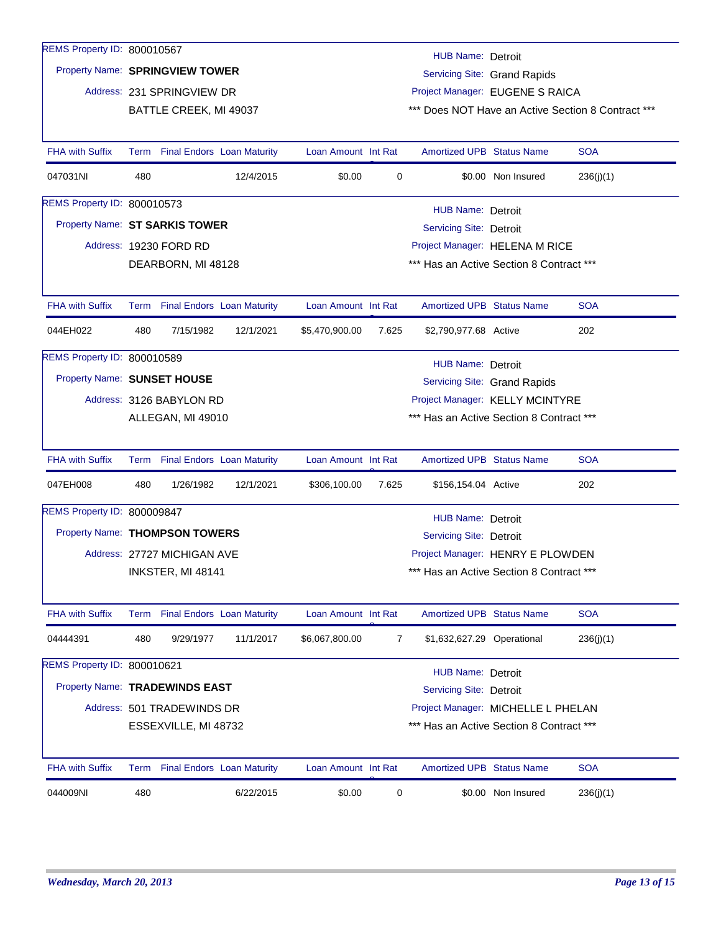| REMS Property ID: 800010567    |                                                                 |                                   |           |                                |       | HUB Name: Detroit                                                              |                                                    |            |  |
|--------------------------------|-----------------------------------------------------------------|-----------------------------------|-----------|--------------------------------|-------|--------------------------------------------------------------------------------|----------------------------------------------------|------------|--|
|                                | Property Name: SPRINGVIEW TOWER<br>Servicing Site: Grand Rapids |                                   |           |                                |       |                                                                                |                                                    |            |  |
|                                |                                                                 | Address: 231 SPRINGVIEW DR        |           |                                |       | Project Manager: EUGENE S RAICA                                                |                                                    |            |  |
|                                | BATTLE CREEK, MI 49037                                          |                                   |           |                                |       |                                                                                | *** Does NOT Have an Active Section 8 Contract *** |            |  |
|                                |                                                                 |                                   |           |                                |       |                                                                                |                                                    |            |  |
| <b>FHA with Suffix</b>         | Term                                                            | <b>Final Endors Loan Maturity</b> |           | Loan Amount Int Rat            |       | <b>Amortized UPB Status Name</b>                                               |                                                    | <b>SOA</b> |  |
| 047031NI                       | 480                                                             |                                   | 12/4/2015 | \$0.00                         | 0     |                                                                                | \$0.00 Non Insured                                 | 236(j)(1)  |  |
| REMS Property ID: 800010573    |                                                                 |                                   |           |                                |       | HUB Name: Detroit                                                              |                                                    |            |  |
|                                | Property Name: ST SARKIS TOWER<br>Servicing Site: Detroit       |                                   |           |                                |       |                                                                                |                                                    |            |  |
|                                | Address: 19230 FORD RD                                          |                                   |           | Project Manager: HELENA M RICE |       |                                                                                |                                                    |            |  |
|                                | *** Has an Active Section 8 Contract ***<br>DEARBORN, MI 48128  |                                   |           |                                |       |                                                                                |                                                    |            |  |
|                                |                                                                 |                                   |           |                                |       |                                                                                |                                                    |            |  |
| <b>FHA with Suffix</b>         |                                                                 | Term Final Endors Loan Maturity   |           | Loan Amount Int Rat            |       | <b>Amortized UPB Status Name</b>                                               |                                                    | <b>SOA</b> |  |
| 044EH022                       | 480                                                             | 7/15/1982                         | 12/1/2021 | \$5,470,900.00                 | 7.625 | \$2,790,977.68 Active                                                          |                                                    | 202        |  |
| REMS Property ID: 800010589    |                                                                 |                                   |           |                                |       | HUB Name: Detroit                                                              |                                                    |            |  |
| Property Name: SUNSET HOUSE    |                                                                 |                                   |           |                                |       |                                                                                | Servicing Site: Grand Rapids                       |            |  |
|                                |                                                                 | Address: 3126 BABYLON RD          |           |                                |       | Project Manager: KELLY MCINTYRE                                                |                                                    |            |  |
|                                |                                                                 | ALLEGAN, MI 49010                 |           |                                |       | *** Has an Active Section 8 Contract ***                                       |                                                    |            |  |
|                                |                                                                 |                                   |           |                                |       |                                                                                |                                                    |            |  |
| <b>FHA with Suffix</b>         |                                                                 | Term Final Endors Loan Maturity   |           | Loan Amount Int Rat            |       | <b>Amortized UPB Status Name</b>                                               |                                                    | <b>SOA</b> |  |
| 047EH008                       | 480                                                             | 1/26/1982                         | 12/1/2021 | \$306,100.00                   | 7.625 | \$156,154.04 Active                                                            |                                                    | 202        |  |
| REMS Property ID: 800009847    |                                                                 |                                   |           |                                |       | <b>HUB Name: Detroit</b>                                                       |                                                    |            |  |
|                                | Property Name: THOMPSON TOWERS                                  |                                   |           |                                |       | <b>Servicing Site: Detroit</b>                                                 |                                                    |            |  |
|                                | Address: 27727 MICHIGAN AVE                                     |                                   |           |                                |       | Project Manager: HENRY E PLOWDEN                                               |                                                    |            |  |
|                                | INKSTER, MI 48141                                               |                                   |           |                                |       | *** Has an Active Section 8 Contract ***                                       |                                                    |            |  |
|                                |                                                                 |                                   |           |                                |       |                                                                                |                                                    |            |  |
| <b>FHA with Suffix</b>         | Term                                                            | <b>Final Endors Loan Maturity</b> |           | Loan Amount Int Rat            |       | Amortized UPB Status Name                                                      |                                                    | <b>SOA</b> |  |
| 04444391                       | 480                                                             | 9/29/1977                         | 11/1/2017 | \$6,067,800.00                 | 7     | \$1,632,627.29 Operational                                                     |                                                    | 236(j)(1)  |  |
| REMS Property ID: 800010621    |                                                                 |                                   |           |                                |       | <b>HUB Name: Detroit</b>                                                       |                                                    |            |  |
| Property Name: TRADEWINDS EAST |                                                                 |                                   |           |                                |       | <b>Servicing Site: Detroit</b>                                                 |                                                    |            |  |
|                                |                                                                 | Address: 501 TRADEWINDS DR        |           |                                |       |                                                                                |                                                    |            |  |
|                                |                                                                 | ESSEXVILLE, MI 48732              |           |                                |       | Project Manager: MICHELLE L PHELAN<br>*** Has an Active Section 8 Contract *** |                                                    |            |  |
|                                |                                                                 |                                   |           |                                |       |                                                                                |                                                    |            |  |
| <b>FHA with Suffix</b>         |                                                                 | Term Final Endors Loan Maturity   |           | Loan Amount Int Rat            |       | <b>Amortized UPB Status Name</b>                                               |                                                    | <b>SOA</b> |  |
| 044009NI                       | 480                                                             |                                   | 6/22/2015 | \$0.00                         | 0     |                                                                                | \$0.00 Non Insured                                 | 236(j)(1)  |  |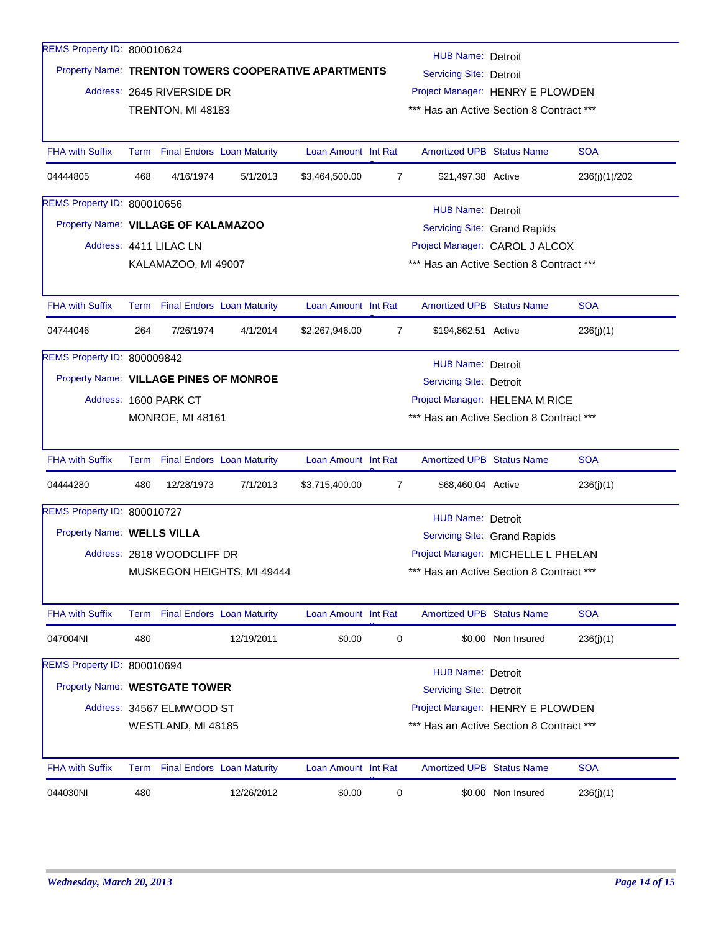| REMS Property ID: 800010624 |                                                                                                                    |                        |                                   |                     |                                |                                                                                |                    |               |  |
|-----------------------------|--------------------------------------------------------------------------------------------------------------------|------------------------|-----------------------------------|---------------------|--------------------------------|--------------------------------------------------------------------------------|--------------------|---------------|--|
|                             | <b>HUB Name: Detroit</b><br>Property Name: TRENTON TOWERS COOPERATIVE APARTMENTS<br><b>Servicing Site: Detroit</b> |                        |                                   |                     |                                |                                                                                |                    |               |  |
|                             | Address: 2645 RIVERSIDE DR<br>TRENTON, MI 48183                                                                    |                        |                                   |                     |                                | Project Manager: HENRY E PLOWDEN<br>*** Has an Active Section 8 Contract ***   |                    |               |  |
|                             |                                                                                                                    |                        |                                   |                     |                                |                                                                                |                    |               |  |
|                             |                                                                                                                    |                        |                                   |                     |                                |                                                                                |                    |               |  |
| <b>FHA with Suffix</b>      |                                                                                                                    |                        | Term Final Endors Loan Maturity   | Loan Amount Int Rat |                                | <b>Amortized UPB Status Name</b>                                               |                    | <b>SOA</b>    |  |
| 04444805                    | 468                                                                                                                | 4/16/1974              | 5/1/2013                          | \$3,464,500.00      | $\overline{7}$                 | \$21,497.38 Active                                                             |                    | 236(j)(1)/202 |  |
| REMS Property ID: 800010656 | <b>HUB Name: Detroit</b>                                                                                           |                        |                                   |                     |                                |                                                                                |                    |               |  |
|                             | Property Name: VILLAGE OF KALAMAZOO<br>Servicing Site: Grand Rapids                                                |                        |                                   |                     |                                |                                                                                |                    |               |  |
|                             |                                                                                                                    | Address: 4411 LILAC LN |                                   |                     | Project Manager: CAROL J ALCOX |                                                                                |                    |               |  |
|                             | KALAMAZOO, MI 49007                                                                                                |                        |                                   |                     |                                | *** Has an Active Section 8 Contract ***                                       |                    |               |  |
|                             |                                                                                                                    |                        |                                   |                     |                                |                                                                                |                    |               |  |
| <b>FHA with Suffix</b>      |                                                                                                                    |                        | Term Final Endors Loan Maturity   | Loan Amount Int Rat |                                | <b>Amortized UPB Status Name</b>                                               |                    | <b>SOA</b>    |  |
| 04744046                    | 264                                                                                                                | 7/26/1974              | 4/1/2014                          | \$2,267,946.00      | $\overline{7}$                 | \$194,862.51 Active                                                            |                    | 236(j)(1)     |  |
| REMS Property ID: 800009842 |                                                                                                                    |                        |                                   |                     |                                | HUB Name: Detroit                                                              |                    |               |  |
|                             | Property Name: VILLAGE PINES OF MONROE                                                                             |                        |                                   |                     |                                | Servicing Site: Detroit                                                        |                    |               |  |
|                             | Address: 1600 PARK CT                                                                                              |                        |                                   |                     |                                | Project Manager: HELENA M RICE                                                 |                    |               |  |
|                             |                                                                                                                    | MONROE, MI 48161       |                                   |                     |                                | *** Has an Active Section 8 Contract ***                                       |                    |               |  |
| <b>FHA with Suffix</b>      |                                                                                                                    |                        | Term Final Endors Loan Maturity   | Loan Amount Int Rat |                                | Amortized UPB Status Name                                                      |                    | <b>SOA</b>    |  |
| 04444280                    | 480                                                                                                                | 12/28/1973             | 7/1/2013                          | \$3,715,400.00      | 7                              | \$68,460.04 Active                                                             |                    | 236(j)(1)     |  |
| REMS Property ID: 800010727 |                                                                                                                    |                        |                                   |                     |                                |                                                                                |                    |               |  |
|                             | <b>HUB Name: Detroit</b><br>Property Name: WELLS VILLA                                                             |                        |                                   |                     |                                |                                                                                |                    |               |  |
|                             |                                                                                                                    |                        |                                   |                     |                                | Servicing Site: Grand Rapids                                                   |                    |               |  |
|                             | Address: 2818 WOODCLIFF DR<br>MUSKEGON HEIGHTS, MI 49444                                                           |                        |                                   |                     |                                | Project Manager: MICHELLE L PHELAN<br>*** Has an Active Section 8 Contract *** |                    |               |  |
|                             |                                                                                                                    |                        |                                   |                     |                                |                                                                                |                    |               |  |
| <b>FHA with Suffix</b>      | Term                                                                                                               |                        | <b>Final Endors</b> Loan Maturity | Loan Amount Int Rat |                                | <b>Amortized UPB Status Name</b>                                               |                    | <b>SOA</b>    |  |
| 047004NI                    | 480                                                                                                                |                        | 12/19/2011                        | \$0.00              | 0                              |                                                                                | \$0.00 Non Insured | 236(j)(1)     |  |
| REMS Property ID: 800010694 |                                                                                                                    |                        |                                   |                     |                                | HUB Name: Detroit                                                              |                    |               |  |
|                             | Property Name: WESTGATE TOWER                                                                                      |                        |                                   |                     |                                | <b>Servicing Site: Detroit</b>                                                 |                    |               |  |
|                             | Address: 34567 ELMWOOD ST                                                                                          |                        |                                   |                     |                                | Project Manager: HENRY E PLOWDEN                                               |                    |               |  |
|                             | WESTLAND, MI 48185                                                                                                 |                        |                                   |                     |                                | *** Has an Active Section 8 Contract ***                                       |                    |               |  |
| <b>FHA with Suffix</b>      |                                                                                                                    |                        | Term Final Endors Loan Maturity   | Loan Amount Int Rat |                                | <b>Amortized UPB Status Name</b>                                               |                    | <b>SOA</b>    |  |
| 044030NI                    | 480                                                                                                                |                        | 12/26/2012                        | \$0.00              | 0                              |                                                                                | \$0.00 Non Insured | 236(j)(1)     |  |